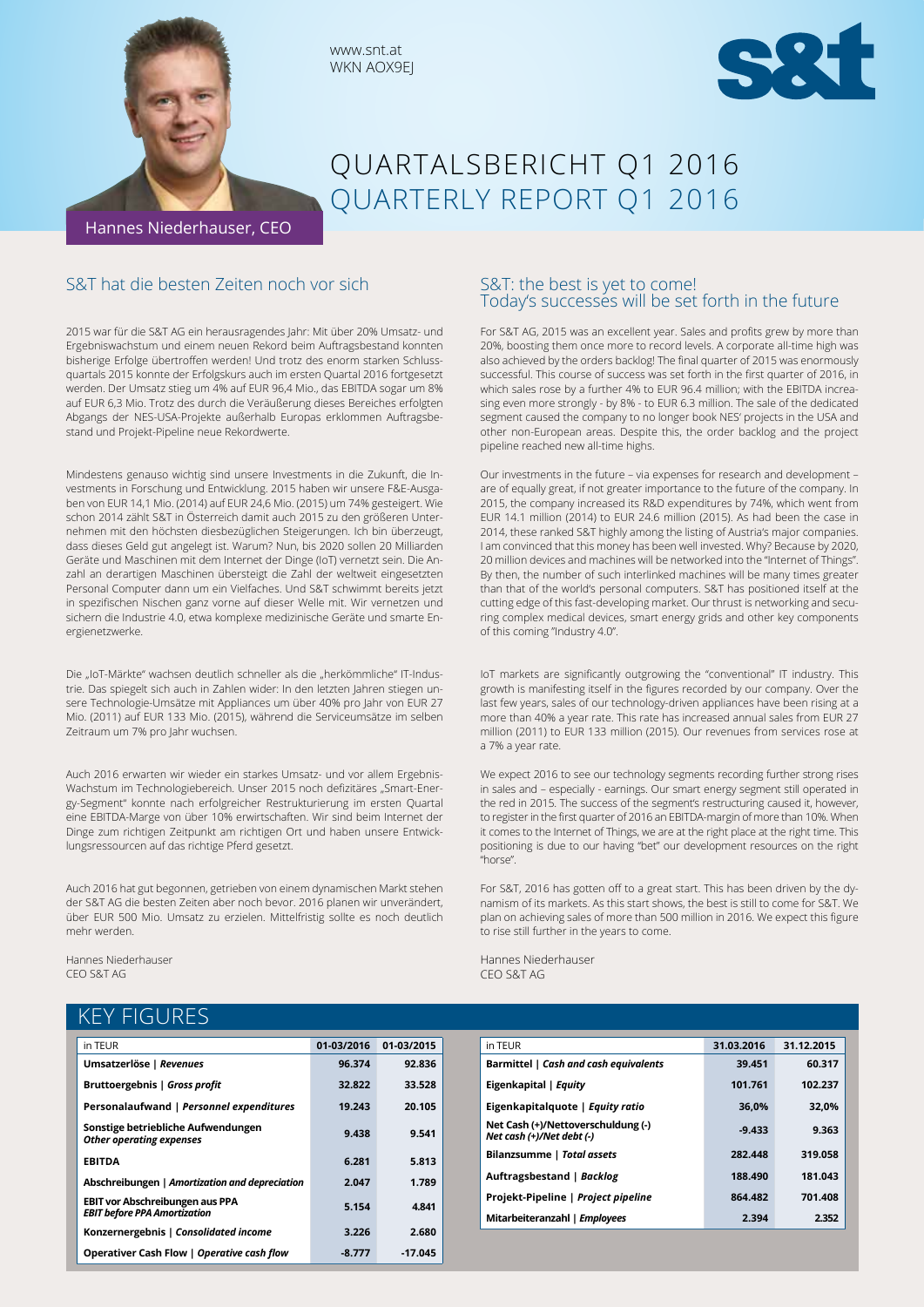



# QUARTALSBERICHT Q1 2016 QUARTERLY REPORT Q1 2016

Hannes Niederhauser, CEO

## S&T hat die besten Zeiten noch vor sich

2015 war für die S&T AG ein herausragendes Jahr: Mit über 20% Umsatz- und Ergebniswachstum und einem neuen Rekord beim Auftragsbestand konnten bisherige Erfolge übertroffen werden! Und trotz des enorm starken Schlussquartals 2015 konnte der Erfolgskurs auch im ersten Quartal 2016 fortgesetzt werden. Der Umsatz stieg um 4% auf EUR 96,4 Mio., das EBITDA sogar um 8% auf EUR 6,3 Mio. Trotz des durch die Veräußerung dieses Bereiches erfolgten Abgangs der NES-USA-Projekte außerhalb Europas erklommen Auftragsbestand und Projekt-Pipeline neue Rekordwerte.

www.snt.at WKN AOX9EJ

Mindestens genauso wichtig sind unsere Investments in die Zukunft, die Investments in Forschung und Entwicklung. 2015 haben wir unsere F&E-Ausgaben von EUR 14,1 Mio. (2014) auf EUR 24,6 Mio. (2015) um 74% gesteigert. Wie schon 2014 zählt S&T in Österreich damit auch 2015 zu den größeren Unternehmen mit den höchsten diesbezüglichen Steigerungen. Ich bin überzeugt, dass dieses Geld gut angelegt ist. Warum? Nun, bis 2020 sollen 20 Milliarden Geräte und Maschinen mit dem Internet der Dinge (IoT) vernetzt sein. Die Anzahl an derartigen Maschinen übersteigt die Zahl der weltweit eingesetzten Personal Computer dann um ein Vielfaches. Und S&T schwimmt bereits jetzt in spezifischen Nischen ganz vorne auf dieser Welle mit. Wir vernetzen und sichern die Industrie 4.0, etwa komplexe medizinische Geräte und smarte Energienetzwerke.

Die "IoT-Märkte" wachsen deutlich schneller als die "herkömmliche" IT-Industrie. Das spiegelt sich auch in Zahlen wider: In den letzten Jahren stiegen unsere Technologie-Umsätze mit Appliances um über 40% pro Jahr von EUR 27 Mio. (2011) auf EUR 133 Mio. (2015), während die Serviceumsätze im selben Zeitraum um 7% pro Jahr wuchsen.

Auch 2016 erwarten wir wieder ein starkes Umsatz- und vor allem Ergebnis-Wachstum im Technologiebereich. Unser 2015 noch defizitäres "Smart-Energy-Segment" konnte nach erfolgreicher Restrukturierung im ersten Quartal eine EBITDA-Marge von über 10% erwirtschaften. Wir sind beim Internet der Dinge zum richtigen Zeitpunkt am richtigen Ort und haben unsere Entwicklungsressourcen auf das richtige Pferd gesetzt.

Auch 2016 hat gut begonnen, getrieben von einem dynamischen Markt stehen der S&T AG die besten Zeiten aber noch bevor. 2016 planen wir unverändert, über EUR 500 Mio. Umsatz zu erzielen. Mittelfristig sollte es noch deutlich mehr werden.

Hannes Niederhauser CEO S&T AG

## KEY FIGURES

| in TEUR                                                                       | 01-03/2016 | 01-03/2015 |
|-------------------------------------------------------------------------------|------------|------------|
|                                                                               |            |            |
| Umsatzerlöse   Revenues                                                       | 96.374     | 92.836     |
| Bruttoergebnis   Gross profit                                                 | 32.822     | 33.528     |
| Personalaufwand   Personnel expenditures                                      | 19.243     | 20.105     |
| Sonstige betriebliche Aufwendungen<br><b>Other operating expenses</b>         | 9.438      | 9.541      |
| <b>EBITDA</b>                                                                 | 6.281      | 5.813      |
| Abschreibungen   Amortization and depreciation                                | 2.047      | 1,789      |
| <b>EBIT vor Abschreibungen aus PPA</b><br><b>EBIT before PPA Amortization</b> | 5.154      | 4.841      |
| Konzernergebnis   Consolidated income                                         | 3.226      | 2.680      |
| Operativer Cash Flow   Operative cash flow                                    | $-8.777$   | $-17.045$  |

## S&T: the best is yet to come! Today's successes will be set forth in the future

For S&T AG, 2015 was an excellent year. Sales and profits grew by more than 20%, boosting them once more to record levels. A corporate all-time high was also achieved by the orders backlog! The final quarter of 2015 was enormously successful. This course of success was set forth in the first quarter of 2016, in which sales rose by a further 4% to EUR 96.4 million; with the EBITDA increasing even more strongly - by 8% - to EUR 6.3 million. The sale of the dedicated segment caused the company to no longer book NES' projects in the USA and other non-European areas. Despite this, the order backlog and the project pipeline reached new all-time highs.

Our investments in the future – via expenses for research and development – are of equally great, if not greater importance to the future of the company. In 2015, the company increased its R&D expenditures by 74%, which went from EUR 14.1 million (2014) to EUR 24.6 million (2015). As had been the case in 2014, these ranked S&T highly among the listing of Austria's major companies. I am convinced that this money has been well invested. Why? Because by 2020, 20 million devices and machines will be networked into the "Internet of Things". By then, the number of such interlinked machines will be many times greater than that of the world's personal computers. S&T has positioned itself at the cutting edge of this fast-developing market. Our thrust is networking and securing complex medical devices, smart energy grids and other key components of this coming "Industry 4.0".

IoT markets are significantly outgrowing the "conventional" IT industry. This growth is manifesting itself in the figures recorded by our company. Over the last few years, sales of our technology-driven appliances have been rising at a more than 40% a year rate. This rate has increased annual sales from EUR 27 million (2011) to EUR 133 million (2015). Our revenues from services rose at a 7% a year rate.

We expect 2016 to see our technology segments recording further strong rises in sales and – especially - earnings. Our smart energy segment still operated in the red in 2015. The success of the segment's restructuring caused it, however, to register in the first quarter of 2016 an EBITDA-margin of more than 10%. When it comes to the Internet of Things, we are at the right place at the right time. This positioning is due to our having "bet" our development resources on the right "horse".

For S&T, 2016 has gotten off to a great start. This has been driven by the dynamism of its markets. As this start shows, the best is still to come for S&T. We plan on achieving sales of more than 500 million in 2016. We expect this figure to rise still further in the years to come.

Hannes Niederhauser CEO S&T AG

| in TEUR                                                         | 31.03.2016 | 31.12.2015 |
|-----------------------------------------------------------------|------------|------------|
| Barmittel   Cash and cash equivalents                           | 39.451     | 60.317     |
| Eigenkapital   Equity                                           | 101.761    | 102.237    |
| Eigenkapitalquote   Equity ratio                                | 36.0%      | 32.0%      |
| Net Cash (+)/Nettoverschuldung (-)<br>Net cash (+)/Net debt (-) | $-9.433$   | 9.363      |
| Bilanzsumme   Total assets                                      | 282.448    | 319.058    |
| Auftragsbestand   Backlog                                       | 188.490    | 181.043    |
| Projekt-Pipeline   Project pipeline                             | 864.482    | 701.408    |
| Mitarbeiteranzahl   Employees                                   | 2.394      | 2.352      |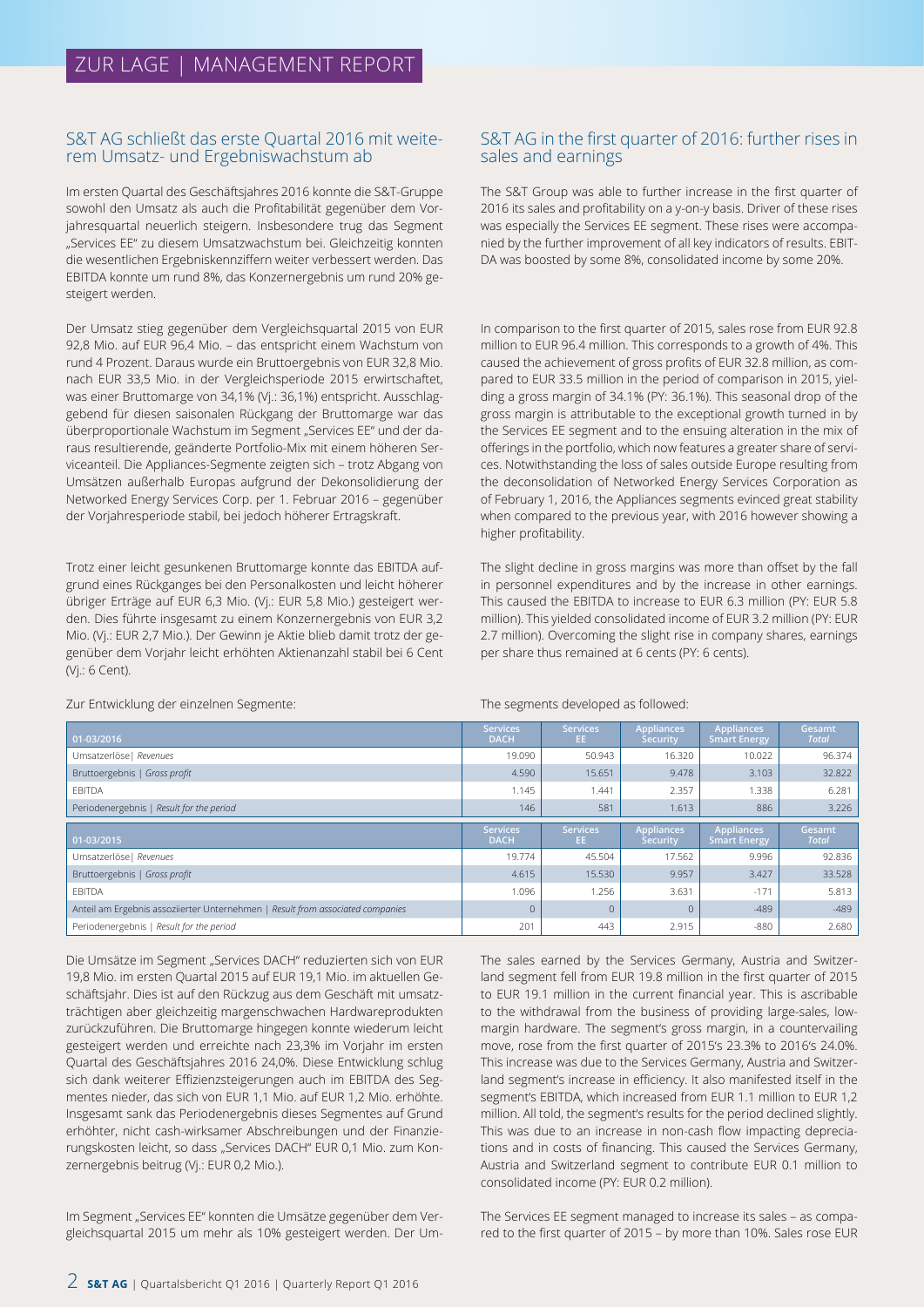### S&T AG schließt das erste Quartal 2016 mit weiterem Umsatz- und Ergebniswachstum ab

Im ersten Quartal des Geschäftsjahres 2016 konnte die S&T-Gruppe sowohl den Umsatz als auch die Profitabilität gegenüber dem Vorjahresquartal neuerlich steigern. Insbesondere trug das Segment "Services EE" zu diesem Umsatzwachstum bei. Gleichzeitig konnten die wesentlichen Ergebniskennziffern weiter verbessert werden. Das EBITDA konnte um rund 8%, das Konzernergebnis um rund 20% gesteigert werden.

Der Umsatz stieg gegenüber dem Vergleichsquartal 2015 von EUR 92,8 Mio. auf EUR 96,4 Mio. – das entspricht einem Wachstum von rund 4 Prozent. Daraus wurde ein Bruttoergebnis von EUR 32,8 Mio. nach EUR 33,5 Mio. in der Vergleichsperiode 2015 erwirtschaftet, was einer Bruttomarge von 34,1% (Vj.: 36,1%) entspricht. Ausschlaggebend für diesen saisonalen Rückgang der Bruttomarge war das überproportionale Wachstum im Segment "Services EE" und der daraus resultierende, geänderte Portfolio-Mix mit einem höheren Serviceanteil. Die Appliances-Segmente zeigten sich – trotz Abgang von Umsätzen außerhalb Europas aufgrund der Dekonsolidierung der Networked Energy Services Corp. per 1. Februar 2016 – gegenüber der Vorjahresperiode stabil, bei jedoch höherer Ertragskraft.

Trotz einer leicht gesunkenen Bruttomarge konnte das EBITDA aufgrund eines Rückganges bei den Personalkosten und leicht höherer übriger Erträge auf EUR 6,3 Mio. (Vj.: EUR 5,8 Mio.) gesteigert werden. Dies führte insgesamt zu einem Konzernergebnis von EUR 3,2 Mio. (Vj.: EUR 2,7 Mio.). Der Gewinn je Aktie blieb damit trotz der gegenüber dem Vorjahr leicht erhöhten Aktienanzahl stabil bei 6 Cent (Vj.: 6 Cent).

## S&T AG in the first quarter of 2016: further rises in sales and earnings

The S&T Group was able to further increase in the first quarter of 2016 its sales and profitability on a y-on-y basis. Driver of these rises was especially the Services EE segment. These rises were accompanied by the further improvement of all key indicators of results. EBIT-DA was boosted by some 8%, consolidated income by some 20%.

In comparison to the first quarter of 2015, sales rose from EUR 92.8 million to EUR 96.4 million. This corresponds to a growth of 4%. This caused the achievement of gross profits of EUR 32.8 million, as compared to EUR 33.5 million in the period of comparison in 2015, yielding a gross margin of 34.1% (PY: 36.1%). This seasonal drop of the gross margin is attributable to the exceptional growth turned in by the Services EE segment and to the ensuing alteration in the mix of offerings in the portfolio, which now features a greater share of services. Notwithstanding the loss of sales outside Europe resulting from the deconsolidation of Networked Energy Services Corporation as of February 1, 2016, the Appliances segments evinced great stability when compared to the previous year, with 2016 however showing a higher profitability.

The slight decline in gross margins was more than offset by the fall in personnel expenditures and by the increase in other earnings. This caused the EBITDA to increase to EUR 6.3 million (PY: EUR 5.8 million). This yielded consolidated income of EUR 3.2 million (PY: EUR 2.7 million). Overcoming the slight rise in company shares, earnings per share thus remained at 6 cents (PY: 6 cents).

The segments developed as followed:

| 01-03/2016                                                                     | <b>Services</b><br><b>DACH</b> | <b>Services</b><br>EE. | <b>Appliances</b><br><b>Security</b> | <b>Appliances</b><br><b>Smart Energy</b> | Gesamt<br><b>Total</b> |
|--------------------------------------------------------------------------------|--------------------------------|------------------------|--------------------------------------|------------------------------------------|------------------------|
| Umsatzerlöse   Revenues                                                        | 19.090                         | 50.943                 | 16.320                               | 10.022                                   | 96.374                 |
| Bruttoergebnis   Gross profit                                                  | 4.590                          | 15.651                 | 9.478                                | 3.103                                    | 32.822                 |
| EBITDA                                                                         | 1.145                          | .441                   | 2.357                                | 1.338                                    | 6.281                  |
| Periodenergebnis   Result for the period                                       | 146                            | 581                    | 1.613                                | 886                                      | 3.226                  |
|                                                                                |                                |                        |                                      |                                          |                        |
| 01-03/2015                                                                     | <b>Services</b><br><b>DACH</b> | <b>Services</b><br>EE. | <b>Appliances</b><br>Security        | <b>Appliances</b><br><b>Smart Energy</b> | Gesamt<br><b>Total</b> |
| Umsatzerlöse   Revenues                                                        | 19.774                         | 45.504                 | 17.562                               | 9.996                                    | 92.836                 |
| Bruttoergebnis   Gross profit                                                  | 4.615                          | 15.530                 | 9.957                                | 3.427                                    | 33.528                 |
| EBITDA                                                                         | 1.096                          | 1.256                  | 3.631                                | $-171$                                   | 5.813                  |
| Anteil am Ergebnis assoziierter Unternehmen   Result from associated companies | $\overline{0}$                 |                        | $\Omega$                             | $-489$                                   | $-489$                 |

Zur Entwicklung der einzelnen Segmente:

Die Umsätze im Segment "Services DACH" reduzierten sich von EUR 19,8 Mio. im ersten Quartal 2015 auf EUR 19,1 Mio. im aktuellen Geschäftsjahr. Dies ist auf den Rückzug aus dem Geschäft mit umsatzträchtigen aber gleichzeitig margenschwachen Hardwareprodukten zurückzuführen. Die Bruttomarge hingegen konnte wiederum leicht gesteigert werden und erreichte nach 23,3% im Vorjahr im ersten Quartal des Geschäftsjahres 2016 24,0%. Diese Entwicklung schlug sich dank weiterer Effizienzsteigerungen auch im EBITDA des Segmentes nieder, das sich von EUR 1,1 Mio. auf EUR 1,2 Mio. erhöhte. Insgesamt sank das Periodenergebnis dieses Segmentes auf Grund erhöhter, nicht cash-wirksamer Abschreibungen und der Finanzierungskosten leicht, so dass "Services DACH" EUR 0,1 Mio. zum Konzernergebnis beitrug (Vj.: EUR 0,2 Mio.).

Im Segment "Services EE" konnten die Umsätze gegenüber dem Vergleichsquartal 2015 um mehr als 10% gesteigert werden. Der UmThe sales earned by the Services Germany, Austria and Switzerland segment fell from EUR 19.8 million in the first quarter of 2015 to EUR 19.1 million in the current financial year. This is ascribable to the withdrawal from the business of providing large-sales, lowmargin hardware. The segment's gross margin, in a countervailing move, rose from the first quarter of 2015's 23.3% to 2016's 24.0%. This increase was due to the Services Germany, Austria and Switzerland segment's increase in efficiency. It also manifested itself in the segment's EBITDA, which increased from EUR 1.1 million to EUR 1,2 million. All told, the segment's results for the period declined slightly. This was due to an increase in non-cash flow impacting depreciations and in costs of financing. This caused the Services Germany, Austria and Switzerland segment to contribute EUR 0.1 million to consolidated income (PY: EUR 0.2 million).

The Services EE segment managed to increase its sales – as compared to the first quarter of 2015 – by more than 10%. Sales rose EUR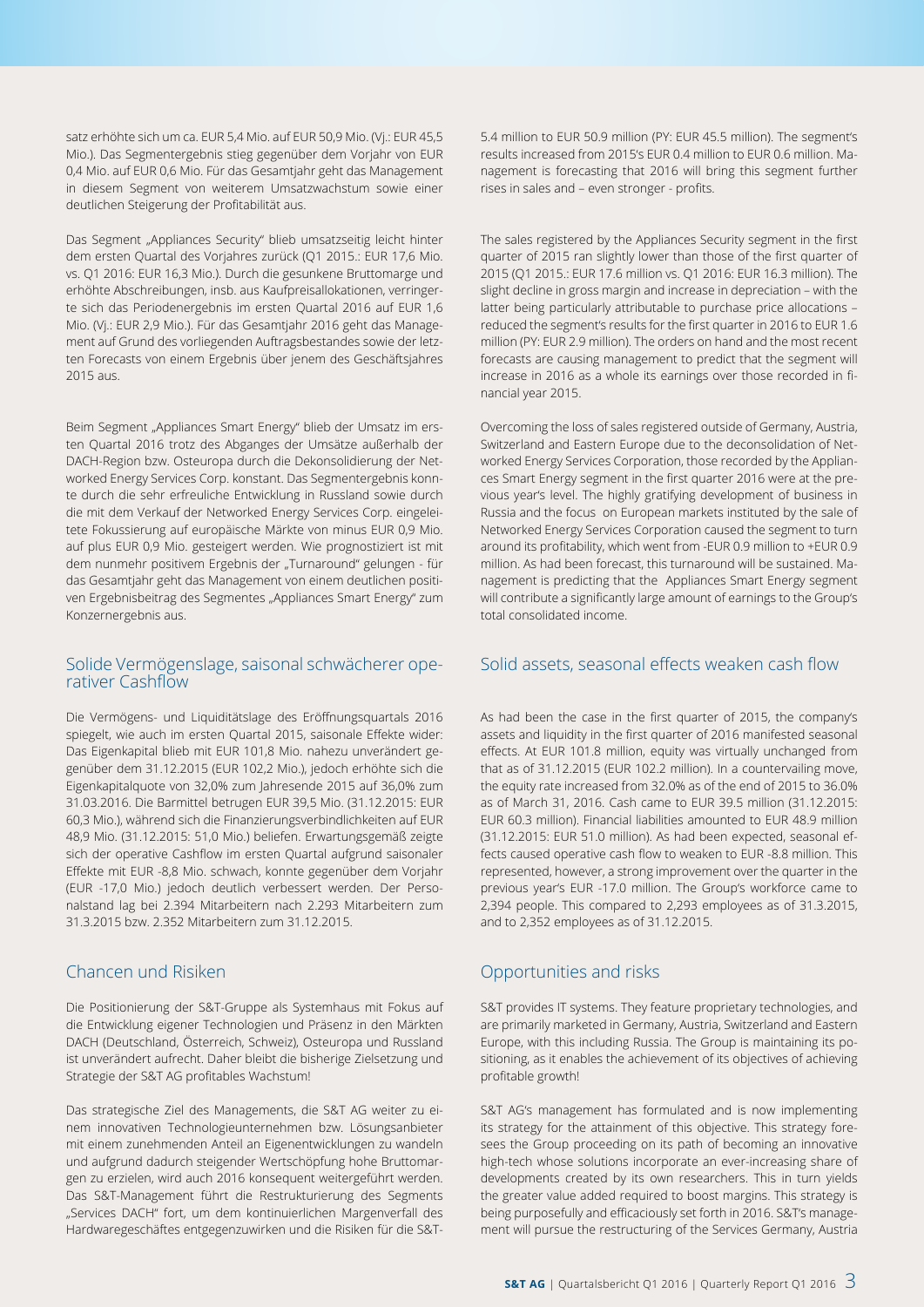satz erhöhte sich um ca. EUR 5,4 Mio. auf EUR 50,9 Mio. (Vj.: EUR 45,5 Mio.). Das Segmentergebnis stieg gegenüber dem Vorjahr von EUR 0,4 Mio. auf EUR 0,6 Mio. Für das Gesamtjahr geht das Management in diesem Segment von weiterem Umsatzwachstum sowie einer deutlichen Steigerung der Profitabilität aus.

Das Segment "Appliances Security" blieb umsatzseitig leicht hinter dem ersten Quartal des Vorjahres zurück (Q1 2015.: EUR 17,6 Mio. vs. Q1 2016: EUR 16,3 Mio.). Durch die gesunkene Bruttomarge und erhöhte Abschreibungen, insb. aus Kaufpreisallokationen, verringerte sich das Periodenergebnis im ersten Quartal 2016 auf EUR 1,6 Mio. (Vj.: EUR 2,9 Mio.). Für das Gesamtjahr 2016 geht das Management auf Grund des vorliegenden Auftragsbestandes sowie der letzten Forecasts von einem Ergebnis über jenem des Geschäftsjahres 2015 aus.

Beim Segment "Appliances Smart Energy" blieb der Umsatz im ersten Quartal 2016 trotz des Abganges der Umsätze außerhalb der DACH-Region bzw. Osteuropa durch die Dekonsolidierung der Networked Energy Services Corp. konstant. Das Segmentergebnis konnte durch die sehr erfreuliche Entwicklung in Russland sowie durch die mit dem Verkauf der Networked Energy Services Corp. eingeleitete Fokussierung auf europäische Märkte von minus EUR 0,9 Mio. auf plus EUR 0,9 Mio. gesteigert werden. Wie prognostiziert ist mit dem nunmehr positivem Ergebnis der "Turnaround" gelungen - für das Gesamtjahr geht das Management von einem deutlichen positiven Ergebnisbeitrag des Segmentes "Appliances Smart Energy" zum Konzernergebnis aus.

## Solide Vermögenslage, saisonal schwächerer operativer Cashflow

Die Vermögens- und Liquiditätslage des Eröffnungsquartals 2016 spiegelt, wie auch im ersten Quartal 2015, saisonale Effekte wider: Das Eigenkapital blieb mit EUR 101,8 Mio. nahezu unverändert gegenüber dem 31.12.2015 (EUR 102,2 Mio.), jedoch erhöhte sich die Eigenkapitalquote von 32,0% zum Jahresende 2015 auf 36,0% zum 31.03.2016. Die Barmittel betrugen EUR 39,5 Mio. (31.12.2015: EUR 60,3 Mio.), während sich die Finanzierungsverbindlichkeiten auf EUR 48,9 Mio. (31.12.2015: 51,0 Mio.) beliefen. Erwartungsgemäß zeigte sich der operative Cashflow im ersten Quartal aufgrund saisonaler Effekte mit EUR -8,8 Mio. schwach, konnte gegenüber dem Vorjahr (EUR -17,0 Mio.) jedoch deutlich verbessert werden. Der Personalstand lag bei 2.394 Mitarbeitern nach 2.293 Mitarbeitern zum 31.3.2015 bzw. 2.352 Mitarbeitern zum 31.12.2015.

## Chancen und Risiken

Die Positionierung der S&T-Gruppe als Systemhaus mit Fokus auf die Entwicklung eigener Technologien und Präsenz in den Märkten DACH (Deutschland, Österreich, Schweiz), Osteuropa und Russland ist unverändert aufrecht. Daher bleibt die bisherige Zielsetzung und Strategie der S&T AG profitables Wachstum!

Das strategische Ziel des Managements, die S&T AG weiter zu einem innovativen Technologieunternehmen bzw. Lösungsanbieter mit einem zunehmenden Anteil an Eigenentwicklungen zu wandeln und aufgrund dadurch steigender Wertschöpfung hohe Bruttomargen zu erzielen, wird auch 2016 konsequent weitergeführt werden. Das S&T-Management führt die Restrukturierung des Segments "Services DACH" fort, um dem kontinuierlichen Margenverfall des Hardwaregeschäftes entgegenzuwirken und die Risiken für die S&T-

5.4 million to EUR 50.9 million (PY: EUR 45.5 million). The segment's results increased from 2015's EUR 0.4 million to EUR 0.6 million. Management is forecasting that 2016 will bring this segment further rises in sales and – even stronger - profits.

The sales registered by the Appliances Security segment in the first quarter of 2015 ran slightly lower than those of the first quarter of 2015 (Q1 2015.: EUR 17.6 million vs. Q1 2016: EUR 16.3 million). The slight decline in gross margin and increase in depreciation – with the latter being particularly attributable to purchase price allocations – reduced the segment's results for the first quarter in 2016 to EUR 1.6 million (PY: EUR 2.9 million). The orders on hand and the most recent forecasts are causing management to predict that the segment will increase in 2016 as a whole its earnings over those recorded in financial year 2015.

Overcoming the loss of sales registered outside of Germany, Austria, Switzerland and Eastern Europe due to the deconsolidation of Networked Energy Services Corporation, those recorded by the Appliances Smart Energy segment in the first quarter 2016 were at the previous year's level. The highly gratifying development of business in Russia and the focus on European markets instituted by the sale of Networked Energy Services Corporation caused the segment to turn around its profitability, which went from -EUR 0.9 million to +EUR 0.9 million. As had been forecast, this turnaround will be sustained. Management is predicting that the Appliances Smart Energy segment will contribute a significantly large amount of earnings to the Group's total consolidated income.

## Solid assets, seasonal effects weaken cash flow

As had been the case in the first quarter of 2015, the company's assets and liquidity in the first quarter of 2016 manifested seasonal effects. At EUR 101.8 million, equity was virtually unchanged from that as of 31.12.2015 (EUR 102.2 million). In a countervailing move, the equity rate increased from 32.0% as of the end of 2015 to 36.0% as of March 31, 2016. Cash came to EUR 39.5 million (31.12.2015: EUR 60.3 million). Financial liabilities amounted to EUR 48.9 million (31.12.2015: EUR 51.0 million). As had been expected, seasonal effects caused operative cash flow to weaken to EUR -8.8 million. This represented, however, a strong improvement over the quarter in the previous year's EUR -17.0 million. The Group's workforce came to 2,394 people. This compared to 2,293 employees as of 31.3.2015, and to 2,352 employees as of 31.12.2015.

## Opportunities and risks

S&T provides IT systems. They feature proprietary technologies, and are primarily marketed in Germany, Austria, Switzerland and Eastern Europe, with this including Russia. The Group is maintaining its positioning, as it enables the achievement of its objectives of achieving profitable growth!

S&T AG's management has formulated and is now implementing its strategy for the attainment of this objective. This strategy foresees the Group proceeding on its path of becoming an innovative high-tech whose solutions incorporate an ever-increasing share of developments created by its own researchers. This in turn yields the greater value added required to boost margins. This strategy is being purposefully and efficaciously set forth in 2016. S&T's management will pursue the restructuring of the Services Germany, Austria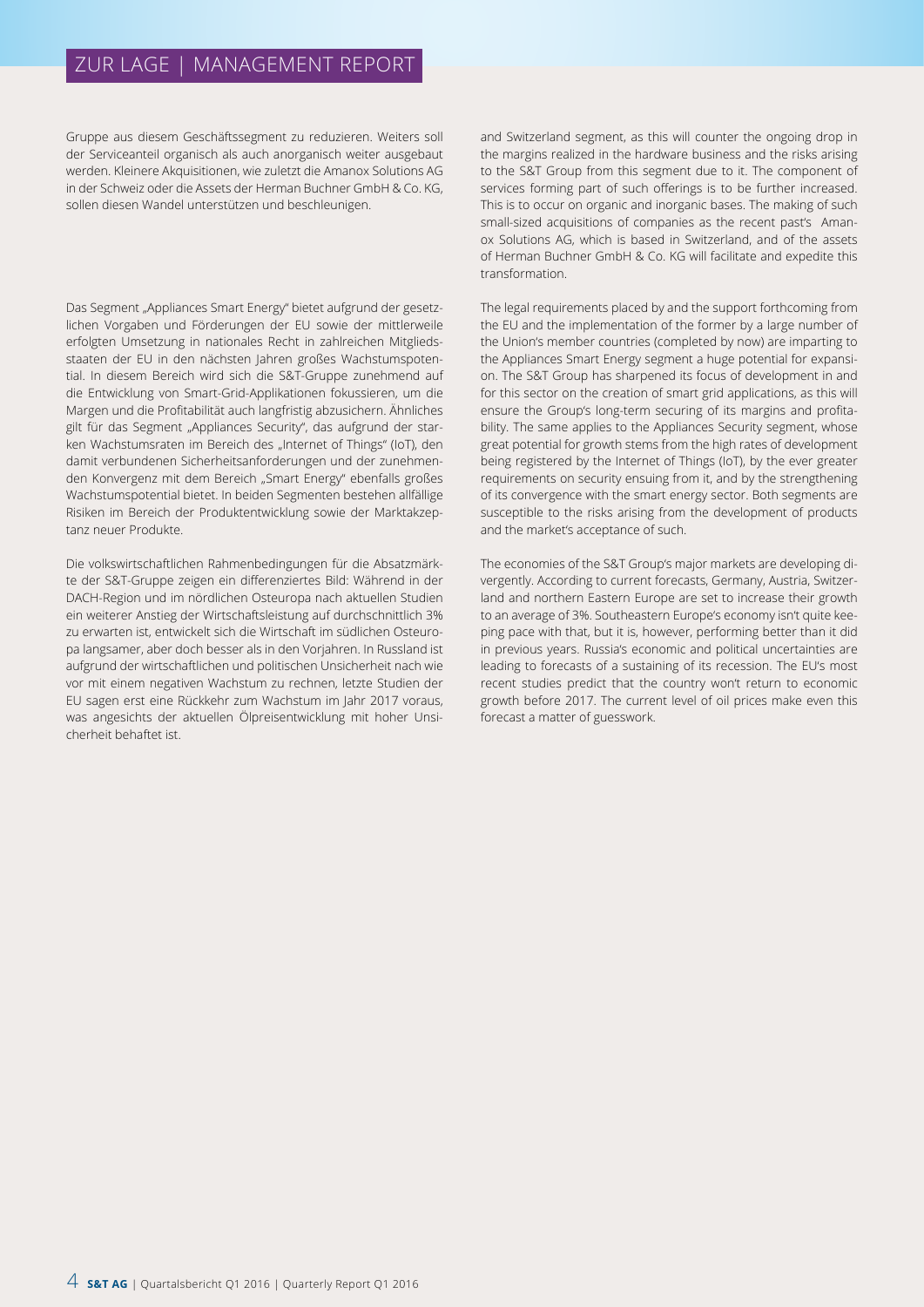## ZUR LAGE | MANAGEMENT REPORT

Gruppe aus diesem Geschäftssegment zu reduzieren. Weiters soll der Serviceanteil organisch als auch anorganisch weiter ausgebaut werden. Kleinere Akquisitionen, wie zuletzt die Amanox Solutions AG in der Schweiz oder die Assets der Herman Buchner GmbH & Co. KG, sollen diesen Wandel unterstützen und beschleunigen.

Das Segment "Appliances Smart Energy" bietet aufgrund der gesetzlichen Vorgaben und Förderungen der EU sowie der mittlerweile erfolgten Umsetzung in nationales Recht in zahlreichen Mitgliedsstaaten der EU in den nächsten Jahren großes Wachstumspotential. In diesem Bereich wird sich die S&T-Gruppe zunehmend auf die Entwicklung von Smart-Grid-Applikationen fokussieren, um die Margen und die Profitabilität auch langfristig abzusichern. Ähnliches gilt für das Segment "Appliances Security", das aufgrund der starken Wachstumsraten im Bereich des "Internet of Things" (IoT), den damit verbundenen Sicherheitsanforderungen und der zunehmenden Konvergenz mit dem Bereich "Smart Energy" ebenfalls großes Wachstumspotential bietet. In beiden Segmenten bestehen allfällige Risiken im Bereich der Produktentwicklung sowie der Marktakzeptanz neuer Produkte.

Die volkswirtschaftlichen Rahmenbedingungen für die Absatzmärkte der S&T-Gruppe zeigen ein differenziertes Bild: Während in der DACH-Region und im nördlichen Osteuropa nach aktuellen Studien ein weiterer Anstieg der Wirtschaftsleistung auf durchschnittlich 3% zu erwarten ist, entwickelt sich die Wirtschaft im südlichen Osteuropa langsamer, aber doch besser als in den Vorjahren. In Russland ist aufgrund der wirtschaftlichen und politischen Unsicherheit nach wie vor mit einem negativen Wachstum zu rechnen, letzte Studien der EU sagen erst eine Rückkehr zum Wachstum im Jahr 2017 voraus, was angesichts der aktuellen Ölpreisentwicklung mit hoher Unsicherheit behaftet ist.

and Switzerland segment, as this will counter the ongoing drop in the margins realized in the hardware business and the risks arising to the S&T Group from this segment due to it. The component of services forming part of such offerings is to be further increased. This is to occur on organic and inorganic bases. The making of such small-sized acquisitions of companies as the recent past's Amanox Solutions AG, which is based in Switzerland, and of the assets of Herman Buchner GmbH & Co. KG will facilitate and expedite this transformation.

The legal requirements placed by and the support forthcoming from the EU and the implementation of the former by a large number of the Union's member countries (completed by now) are imparting to the Appliances Smart Energy segment a huge potential for expansion. The S&T Group has sharpened its focus of development in and for this sector on the creation of smart grid applications, as this will ensure the Group's long-term securing of its margins and profitability. The same applies to the Appliances Security segment, whose great potential for growth stems from the high rates of development being registered by the Internet of Things (IoT), by the ever greater requirements on security ensuing from it, and by the strengthening of its convergence with the smart energy sector. Both segments are susceptible to the risks arising from the development of products and the market's acceptance of such.

The economies of the S&T Group's major markets are developing divergently. According to current forecasts, Germany, Austria, Switzerland and northern Eastern Europe are set to increase their growth to an average of 3%. Southeastern Europe's economy isn't quite keeping pace with that, but it is, however, performing better than it did in previous years. Russia's economic and political uncertainties are leading to forecasts of a sustaining of its recession. The EU's most recent studies predict that the country won't return to economic growth before 2017. The current level of oil prices make even this forecast a matter of guesswork.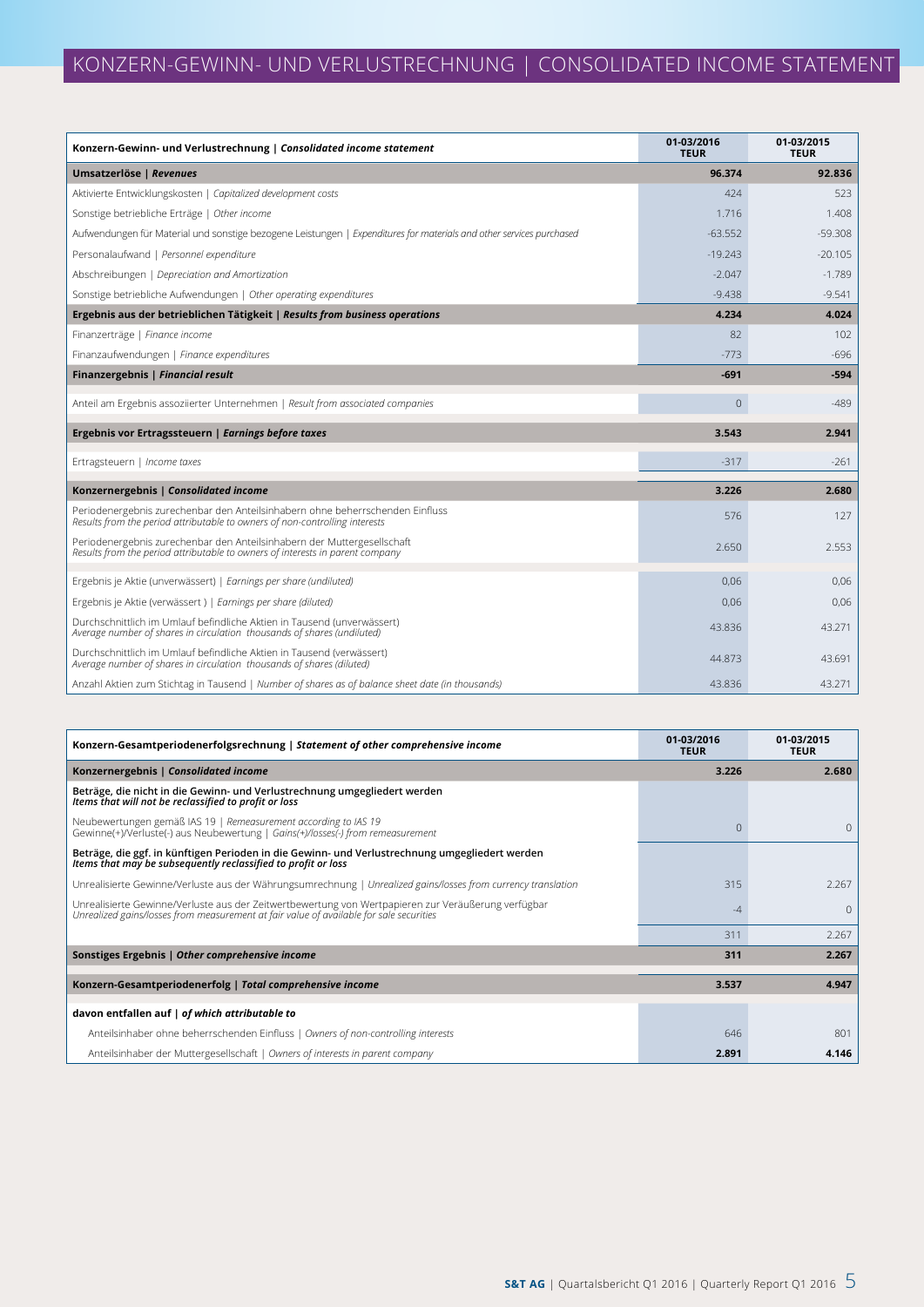| Konzern-Gewinn- und Verlustrechnung   Consolidated income statement                                                                                          | 01-03/2016<br><b>TEUR</b> | 01-03/2015<br><b>TEUR</b> |
|--------------------------------------------------------------------------------------------------------------------------------------------------------------|---------------------------|---------------------------|
| Umsatzerlöse   Revenues                                                                                                                                      | 96.374                    | 92.836                    |
| Aktivierte Entwicklungskosten   Capitalized development costs                                                                                                | 424                       | 523                       |
| Sonstige betriebliche Erträge   Other income                                                                                                                 | 1.716                     | 1.408                     |
| Aufwendungen für Material und sonstige bezogene Leistungen   Expenditures for materials and other services purchased                                         | $-63.552$                 | $-59.308$                 |
| Personalaufwand   Personnel expenditure                                                                                                                      | $-19.243$                 | $-20.105$                 |
| Abschreibungen   Depreciation and Amortization                                                                                                               | $-2.047$                  | $-1.789$                  |
| Sonstige betriebliche Aufwendungen   Other operating expenditures                                                                                            | $-9.438$                  | $-9.541$                  |
| Ergebnis aus der betrieblichen Tätigkeit   Results from business operations                                                                                  | 4.234                     | 4.024                     |
| Finanzerträge   Finance income                                                                                                                               | 82                        | 102                       |
| Finanzaufwendungen   Finance expenditures                                                                                                                    | $-773$                    | $-696$                    |
| Finanzergebnis   Financial result                                                                                                                            | $-691$                    | $-594$                    |
| Anteil am Ergebnis assoziierter Unternehmen   Result from associated companies                                                                               | $\mathbf 0$               | $-489$                    |
| Ergebnis vor Ertragssteuern   Earnings before taxes                                                                                                          | 3.543                     | 2.941                     |
| Ertragsteuern   Income taxes                                                                                                                                 | $-317$                    | $-261$                    |
| Konzernergebnis   Consolidated income                                                                                                                        | 3.226                     | 2.680                     |
| Periodenergebnis zurechenbar den Anteilsinhabern ohne beherrschenden Einfluss<br>Results from the period attributable to owners of non-controlling interests | 576                       | 127                       |
| Periodenergebnis zurechenbar den Anteilsinhabern der Muttergesellschaft<br>Results from the period attributable to owners of interests in parent company     | 2.650                     | 2.553                     |
| Ergebnis je Aktie (unverwässert)   Earnings per share (undiluted)                                                                                            | 0.06                      | 0,06                      |
| Ergebnis je Aktie (verwässert)   Earnings per share (diluted)                                                                                                | 0,06                      | 0,06                      |
| Durchschnittlich im Umlauf befindliche Aktien in Tausend (unverwässert)<br>Average number of shares in circulation thousands of shares (undiluted)           | 43.836                    | 43.271                    |
| Durchschnittlich im Umlauf befindliche Aktien in Tausend (verwässert)<br>Average number of shares in circulation thousands of shares (diluted)               | 44.873                    | 43.691                    |
| Anzahl Aktien zum Stichtag in Tausend   Number of shares as of balance sheet date (in thousands)                                                             | 43.836                    | 43.271                    |

| Konzern-Gesamtperiodenerfolgsrechnung   Statement of other comprehensive income                                                                                                                | 01-03/2016<br><b>TEUR</b> | 01-03/2015<br><b>TEUR</b> |
|------------------------------------------------------------------------------------------------------------------------------------------------------------------------------------------------|---------------------------|---------------------------|
| Konzernergebnis   Consolidated income                                                                                                                                                          | 3.226                     | 2.680                     |
| Beträge, die nicht in die Gewinn- und Verlustrechnung umgegliedert werden<br>Items that will not be reclassified to profit or loss                                                             |                           |                           |
| Neubewertungen gemäß IAS 19   Remeasurement according to IAS 19<br>Gewinne(+)/Verluste(-) aus Neubewertung   Gains(+)/losses(-) from remeasurement                                             | $\Omega$                  | $\Omega$                  |
| Beträge, die ggf. in künftigen Perioden in die Gewinn- und Verlustrechnung umgegliedert werden<br>Items that may be subsequently reclassified to profit or loss                                |                           |                           |
| Unrealisierte Gewinne/Verluste aus der Währungsumrechnung   Unrealized gains/losses from currency translation                                                                                  | 315                       | 2.267                     |
| Unrealisierte Gewinne/Verluste aus der Zeitwertbewertung von Wertpapieren zur Veräußerung verfügbar<br>Unrealized gains/losses from measurement at fair value of available for sale securities | $-4$                      | $\Omega$                  |
|                                                                                                                                                                                                | 311                       | 2.267                     |
| Sonstiges Ergebnis   Other comprehensive income                                                                                                                                                | 311                       | 2.267                     |
| Konzern-Gesamtperiodenerfolg   Total comprehensive income                                                                                                                                      | 3.537                     | 4.947                     |
| davon entfallen auf   of which attributable to                                                                                                                                                 |                           |                           |
| Anteilsinhaber ohne beherrschenden Einfluss   Owners of non-controlling interests                                                                                                              | 646                       | 801                       |
| Anteilsinhaber der Muttergesellschaft   Owners of interests in parent company                                                                                                                  | 2.891                     | 4.146                     |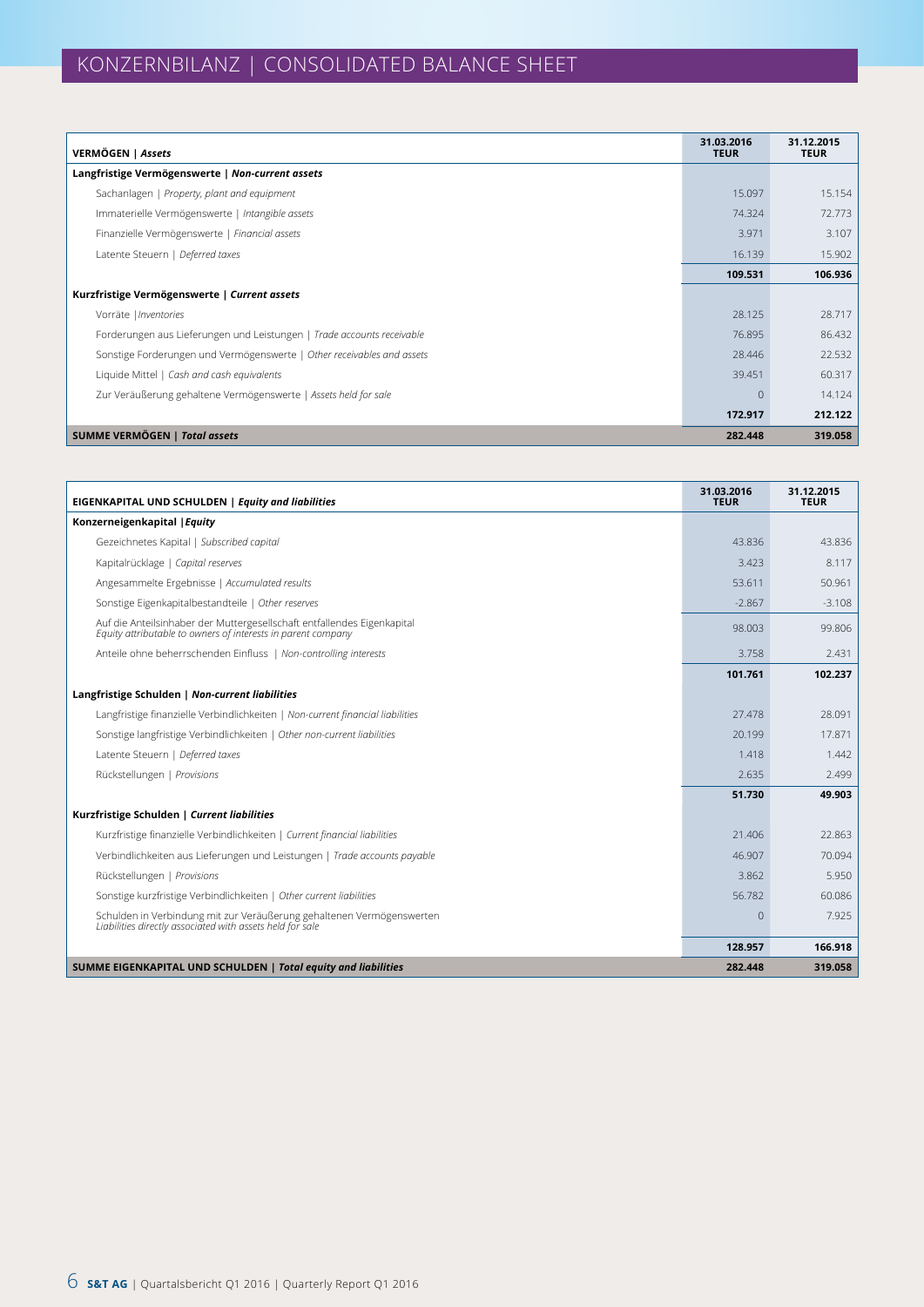| VERMÖGEN   Assets                                                      | 31.03.2016<br><b>TEUR</b> | 31.12.2015<br><b>TEUR</b> |
|------------------------------------------------------------------------|---------------------------|---------------------------|
| Langfristige Vermögenswerte   Non-current assets                       |                           |                           |
| Sachanlagen   Property, plant and equipment                            | 15.097                    | 15.154                    |
| Immaterielle Vermögenswerte   Intangible assets                        | 74.324                    | 72.773                    |
| Finanzielle Vermögenswerte   Financial assets                          | 3.971                     | 3.107                     |
| Latente Steuern   Deferred taxes                                       | 16.139                    | 15.902                    |
|                                                                        | 109.531                   | 106.936                   |
| Kurzfristige Vermögenswerte   Current assets                           |                           |                           |
| Vorräte   Inventories                                                  | 28.125                    | 28.717                    |
| Forderungen aus Lieferungen und Leistungen   Trade accounts receivable | 76.895                    | 86.432                    |
| Sonstige Forderungen und Vermögenswerte   Other receivables and assets | 28.446                    | 22.532                    |
| Liquide Mittel   Cash and cash equivalents                             | 39.451                    | 60.317                    |
| Zur Veräußerung gehaltene Vermögenswerte   Assets held for sale        | $\Omega$                  | 14.124                    |
|                                                                        | 172.917                   | 212.122                   |
| <b>SUMME VERMÖGEN   Total assets</b>                                   | 282.448                   | 319.058                   |

| <b>EIGENKAPITAL UND SCHULDEN   Equity and liabilities</b>                                                                               | 31.03.2016<br><b>TEUR</b> | 31.12.2015<br><b>TEUR</b> |
|-----------------------------------------------------------------------------------------------------------------------------------------|---------------------------|---------------------------|
| Konzerneigenkapital   Equity                                                                                                            |                           |                           |
| Gezeichnetes Kapital   Subscribed capital                                                                                               | 43.836                    | 43.836                    |
| Kapitalrücklage   Capital reserves                                                                                                      | 3.423                     | 8.117                     |
| Angesammelte Ergebnisse   Accumulated results                                                                                           | 53.611                    | 50.961                    |
| Sonstige Eigenkapitalbestandteile   Other reserves                                                                                      | $-2.867$                  | $-3.108$                  |
| Auf die Anteilsinhaber der Muttergesellschaft entfallendes Eigenkapital<br>Equity attributable to owners of interests in parent company | 98.003                    | 99.806                    |
| Anteile ohne beherrschenden Einfluss   Non-controlling interests                                                                        | 3.758                     | 2.431                     |
|                                                                                                                                         | 101.761                   | 102.237                   |
| Langfristige Schulden   Non-current liabilities                                                                                         |                           |                           |
| Langfristige finanzielle Verbindlichkeiten   Non-current financial liabilities                                                          | 27.478                    | 28.091                    |
| Sonstige langfristige Verbindlichkeiten   Other non-current liabilities                                                                 | 20.199                    | 17.871                    |
| Latente Steuern   Deferred taxes                                                                                                        | 1.418                     | 1.442                     |
| Rückstellungen   Provisions                                                                                                             | 2.635                     | 2.499                     |
|                                                                                                                                         | 51.730                    | 49.903                    |
| Kurzfristige Schulden   Current liabilities                                                                                             |                           |                           |
| Kurzfristige finanzielle Verbindlichkeiten   Current financial liabilities                                                              | 21,406                    | 22.863                    |
| Verbindlichkeiten aus Lieferungen und Leistungen   Trade accounts payable                                                               | 46.907                    | 70.094                    |
| Rückstellungen   Provisions                                                                                                             | 3.862                     | 5.950                     |
| Sonstige kurzfristige Verbindlichkeiten   Other current liabilities                                                                     | 56.782                    | 60.086                    |
| Schulden in Verbindung mit zur Veräußerung gehaltenen Vermögenswerten<br>Liabilities directly associated with assets held for sale      | $\Omega$                  | 7.925                     |
|                                                                                                                                         | 128.957                   | 166.918                   |
| SUMME EIGENKAPITAL UND SCHULDEN   Total equity and liabilities                                                                          | 282.448                   | 319.058                   |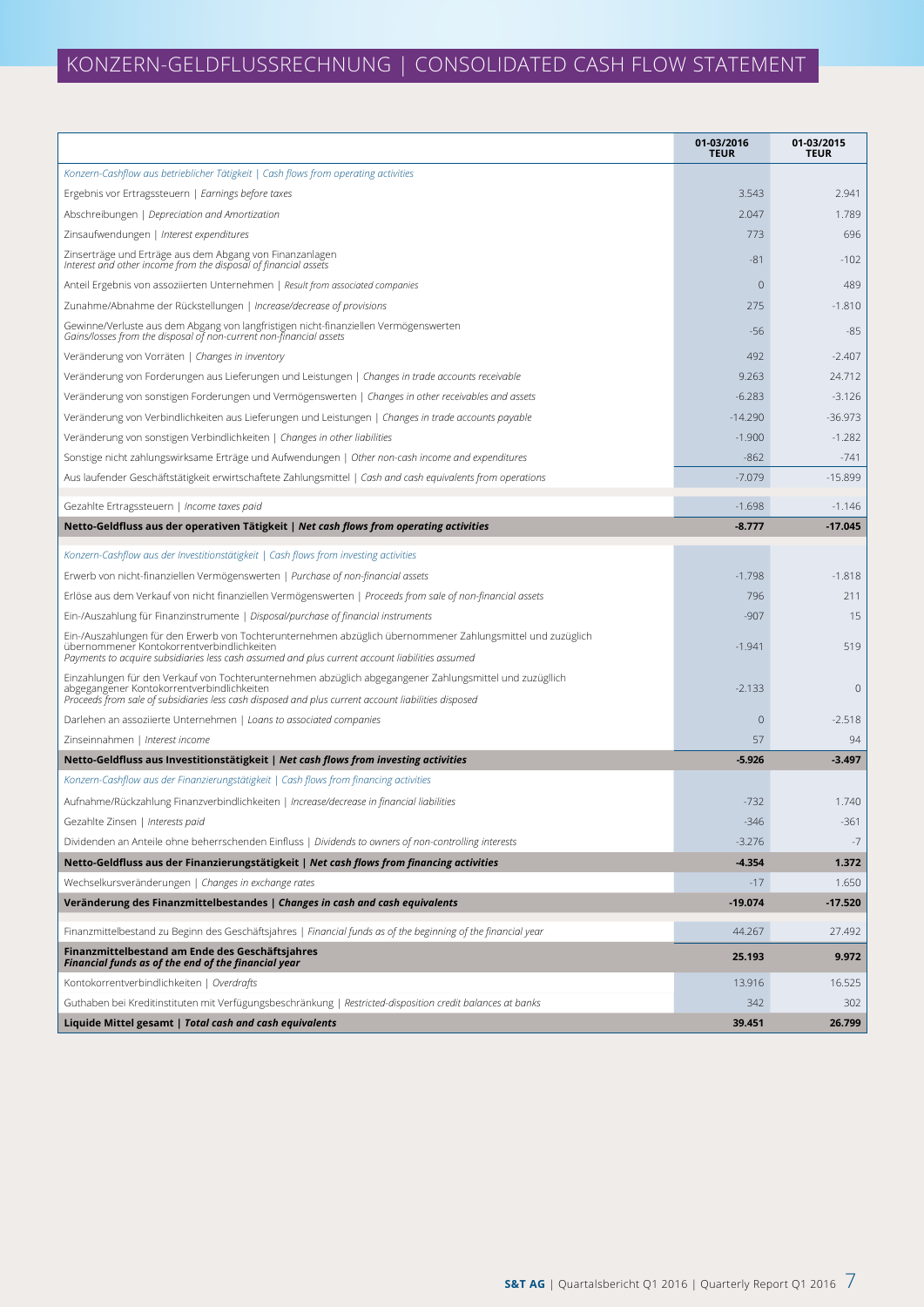# KONZERN-GELDFLUSSRECHNUNG | CONSOLIDATED CASH FLOW STATEMENT

|                                                                                                                                                                                                                                                               | 01-03/2016<br><b>TEUR</b> | 01-03/2015<br><b>TEUR</b> |
|---------------------------------------------------------------------------------------------------------------------------------------------------------------------------------------------------------------------------------------------------------------|---------------------------|---------------------------|
| Konzern-Cashflow aus betrieblicher Tätigkeit   Cash flows from operating activities                                                                                                                                                                           |                           |                           |
| Ergebnis vor Ertragssteuern   Earnings before taxes                                                                                                                                                                                                           | 3.543                     | 2.941                     |
| Abschreibungen   Depreciation and Amortization                                                                                                                                                                                                                | 2.047                     | 1.789                     |
| Zinsaufwendungen   Interest expenditures                                                                                                                                                                                                                      | 773                       | 696                       |
| Zinserträge und Erträge aus dem Abgang von Finanzanlagen<br>Interest and other income from the disposal of financial assets                                                                                                                                   | $-81$                     | $-102$                    |
| Anteil Ergebnis von assoziierten Unternehmen   Result from associated companies                                                                                                                                                                               | $\mathbf{0}$              | 489                       |
| Zunahme/Abnahme der Rückstellungen   Increase/decrease of provisions                                                                                                                                                                                          | 275                       | $-1.810$                  |
| Gewinne/Verluste aus dem Abgang von langfristigen nicht-finanziellen Vermögenswerten<br>Gains/losses from the disposal of non-current non-financial assets                                                                                                    | $-56$                     | $-85$                     |
| Veränderung von Vorräten   Changes in inventory                                                                                                                                                                                                               | 492                       | $-2.407$                  |
| Veränderung von Forderungen aus Lieferungen und Leistungen   Changes in trade accounts receivable                                                                                                                                                             | 9.263                     | 24.712                    |
| Veränderung von sonstigen Forderungen und Vermögenswerten   Changes in other receivables and assets                                                                                                                                                           | $-6.283$                  | $-3.126$                  |
| Veränderung von Verbindlichkeiten aus Lieferungen und Leistungen   Changes in trade accounts payable                                                                                                                                                          | $-14.290$                 | $-36.973$                 |
| Veränderung von sonstigen Verbindlichkeiten   Changes in other liabilities                                                                                                                                                                                    | $-1.900$                  | $-1.282$                  |
| Sonstige nicht zahlungswirksame Erträge und Aufwendungen   Other non-cash income and expenditures                                                                                                                                                             | $-862$                    | $-741$                    |
| Aus laufender Geschäftstätigkeit erwirtschaftete Zahlungsmittel   Cash and cash equivalents from operations                                                                                                                                                   | $-7.079$                  | $-15.899$                 |
| Gezahlte Ertragssteuern   Income taxes paid                                                                                                                                                                                                                   | $-1.698$                  | $-1.146$                  |
| Netto-Geldfluss aus der operativen Tätigkeit   Net cash flows from operating activities                                                                                                                                                                       | $-8.777$                  | $-17.045$                 |
| Konzern-Cashflow aus der Investitionstätigkeit   Cash flows from investing activities                                                                                                                                                                         |                           |                           |
| Erwerb von nicht-finanziellen Vermögenswerten   Purchase of non-financial assets                                                                                                                                                                              | $-1.798$                  | $-1.818$                  |
| Erlöse aus dem Verkauf von nicht finanziellen Vermögenswerten   Proceeds from sale of non-financial assets                                                                                                                                                    | 796                       | 211                       |
| Ein-/Auszahlung für Finanzinstrumente   Disposal/purchase of financial instruments                                                                                                                                                                            | $-907$                    | 15                        |
| Ein-/Auszahlungen für den Erwerb von Tochterunternehmen abzüglich übernommener Zahlungsmittel und zuzüglich<br>übernommener Kontokorrentverbindlichkeiten<br>Payments to acquire subsidiaries less cash assumed and plus current account liabilities assumed  | $-1.941$                  | 519                       |
| Einzahlungen für den Verkauf von Tochterunternehmen abzüglich abgegangener Zahlungsmittel und zuzügllich<br>abgegangener Kontokorrentverbindlichkeiten<br>Proceeds from sale of subsidiaries less cash disposed and plus current account liabilities disposed | $-2.133$                  | 0                         |
| Darlehen an assoziierte Unternehmen   Loans to associated companies                                                                                                                                                                                           | $\mathbf{0}$              | $-2.518$                  |
| Zinseinnahmen   Interest income                                                                                                                                                                                                                               | 57                        | 94                        |
| Netto-Geldfluss aus Investitionstätigkeit   Net cash flows from investing activities                                                                                                                                                                          | $-5.926$                  | $-3.497$                  |
| Konzern-Cashflow aus der Finanzierungstätigkeit   Cash flows from financing activities                                                                                                                                                                        |                           |                           |
| Aufnahme/Rückzahlung Finanzverbindlichkeiten   Increase/decrease in financial liabilities                                                                                                                                                                     | $-732$                    | 1.740                     |
| Gezahlte Zinsen   Interests paid                                                                                                                                                                                                                              | $-346$                    | $-361$                    |
| Dividenden an Anteile ohne beherrschenden Einfluss   Dividends to owners of non-controlling interests                                                                                                                                                         | $-3.276$                  | $-7$                      |
| Netto-Geldfluss aus der Finanzierungstätigkeit   Net cash flows from financing activities                                                                                                                                                                     | $-4.354$                  | 1.372                     |
| Wechselkursveränderungen   Changes in exchange rates                                                                                                                                                                                                          | $-17$                     | 1.650                     |
| Veränderung des Finanzmittelbestandes   Changes in cash and cash equivalents                                                                                                                                                                                  | $-19.074$                 | $-17.520$                 |
| Finanzmittelbestand zu Beginn des Geschäftsjahres   Financial funds as of the beginning of the financial year                                                                                                                                                 | 44.267                    | 27.492                    |
| Finanzmittelbestand am Ende des Geschäftsjahres<br>Financial funds as of the end of the financial year                                                                                                                                                        | 25.193                    | 9.972                     |
| Kontokorrentverbindlichkeiten   Overdrafts                                                                                                                                                                                                                    | 13.916                    | 16.525                    |
| Guthaben bei Kreditinstituten mit Verfügungsbeschränkung   Restricted-disposition credit balances at banks                                                                                                                                                    | 342                       | 302                       |
| Liquide Mittel gesamt   Total cash and cash equivalents                                                                                                                                                                                                       | 39.451                    | 26.799                    |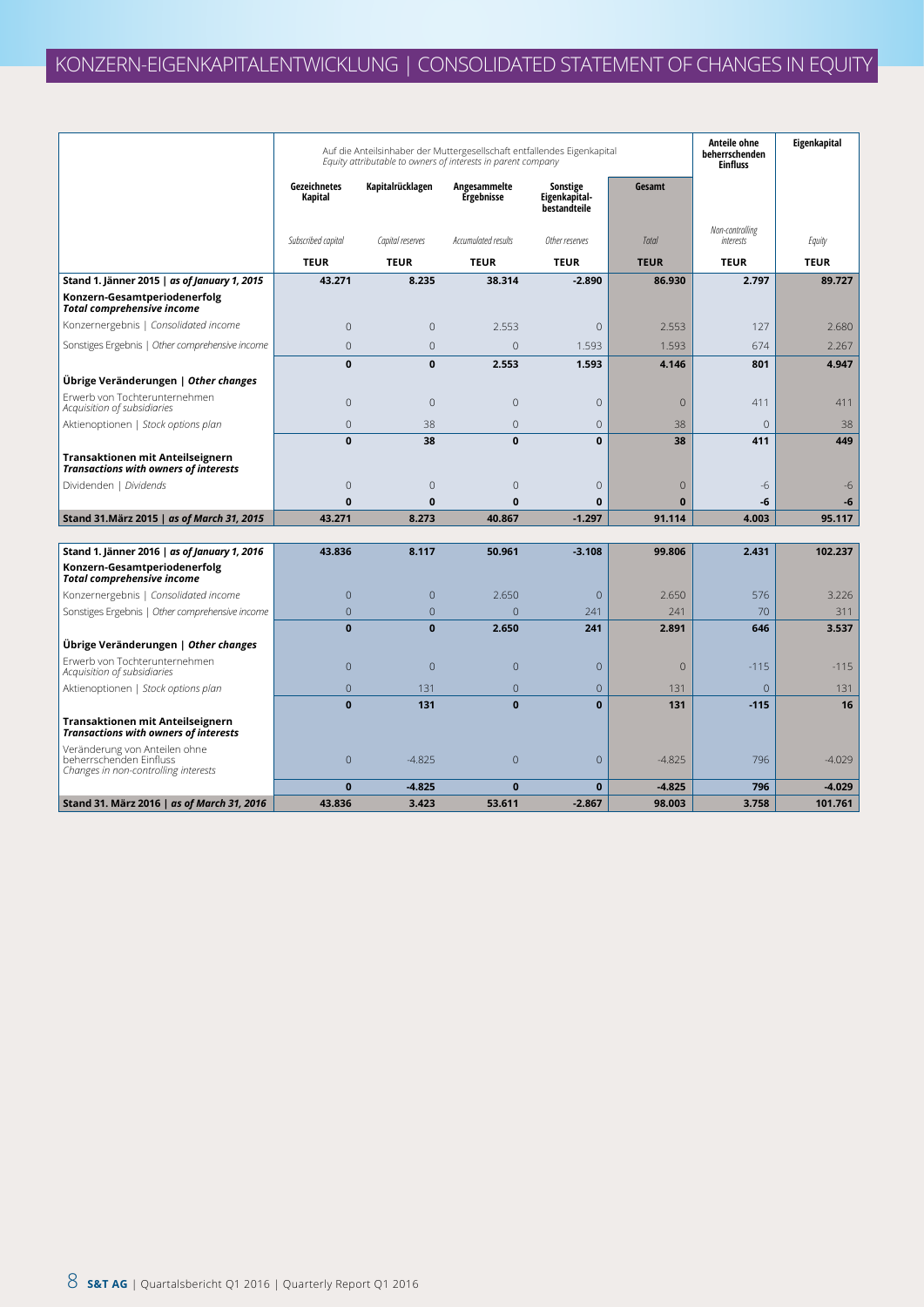|                                                                                                  |                         | Auf die Anteilsinhaber der Muttergesellschaft entfallendes Eigenkapital<br>Equity attributable to owners of interests in parent company |                            |                                           |              | Anteile ohne<br>beherrschenden<br><b>Einfluss</b> | Eigenkapital |
|--------------------------------------------------------------------------------------------------|-------------------------|-----------------------------------------------------------------------------------------------------------------------------------------|----------------------------|-------------------------------------------|--------------|---------------------------------------------------|--------------|
|                                                                                                  | Gezeichnetes<br>Kapital | Kapitalrücklagen                                                                                                                        | Angesammelte<br>Ergebnisse | Sonstige<br>Eigenkapital-<br>bestandteile | Gesamt       |                                                   |              |
|                                                                                                  | Subscribed capital      | Capital reserves                                                                                                                        | Accumulated results        | Other reserves                            | Total        | Non-controlling<br>interests                      | Equity       |
|                                                                                                  | <b>TEUR</b>             | <b>TEUR</b>                                                                                                                             | <b>TEUR</b>                | <b>TEUR</b>                               | <b>TEUR</b>  | <b>TEUR</b>                                       | <b>TEUR</b>  |
| Stand 1. Jänner 2015   as of January 1, 2015                                                     | 43.271                  | 8.235                                                                                                                                   | 38.314                     | $-2.890$                                  | 86.930       | 2.797                                             | 89.727       |
| Konzern-Gesamtperiodenerfolg<br><b>Total comprehensive income</b>                                |                         |                                                                                                                                         |                            |                                           |              |                                                   |              |
| Konzernergebnis   Consolidated income                                                            | $\overline{0}$          | $\Omega$                                                                                                                                | 2.553                      | $\overline{0}$                            | 2.553        | 127                                               | 2.680        |
| Sonstiges Ergebnis   Other comprehensive income                                                  | $\Omega$                | $\overline{0}$                                                                                                                          | $\overline{0}$             | 1.593                                     | 1.593        | 674                                               | 2.267        |
|                                                                                                  | $\bf{0}$                | $\mathbf 0$                                                                                                                             | 2.553                      | 1.593                                     | 4.146        | 801                                               | 4.947        |
| Übrige Veränderungen   Other changes                                                             |                         |                                                                                                                                         |                            |                                           |              |                                                   |              |
| Erwerb von Tochterunternehmen<br>Acquisition of subsidiaries                                     | $\overline{0}$          | $\overline{0}$                                                                                                                          | $\mathbf{0}$               | 0                                         | $\mathbf{0}$ | 411                                               | 411          |
| Aktienoptionen   Stock options plan                                                              | $\overline{0}$          | 38                                                                                                                                      | $\overline{0}$             | $\overline{0}$                            | 38           | $\overline{0}$                                    | 38           |
|                                                                                                  | $\mathbf{0}$            | 38                                                                                                                                      | $\mathbf{0}$               | $\mathbf{0}$                              | 38           | 411                                               | 449          |
| Transaktionen mit Anteilseignern<br><b>Transactions with owners of interests</b>                 |                         |                                                                                                                                         |                            |                                           |              |                                                   |              |
| Dividenden   Dividends                                                                           | $\overline{0}$          | $\overline{0}$                                                                                                                          | $\mathbf{0}$               | 0                                         | $\mathbf{0}$ | $-6$                                              | -6           |
|                                                                                                  | $\mathbf{0}$            | $\bf{0}$                                                                                                                                | $\mathbf{0}$               | $\bf{0}$                                  | $\bf{0}$     | -6                                                | -6           |
| Stand 31. März 2015   as of March 31, 2015                                                       | 43.271                  | 8.273                                                                                                                                   | 40.867                     | $-1.297$                                  | 91.114       | 4.003                                             | 95.117       |
|                                                                                                  | 43.836                  | 8.117                                                                                                                                   | 50.961                     | $-3.108$                                  | 99.806       | 2.431                                             | 102.237      |
| Stand 1. Jänner 2016   as of January 1, 2016<br>Konzern-Gesamtperiodenerfolg                     |                         |                                                                                                                                         |                            |                                           |              |                                                   |              |
| <b>Total comprehensive income</b><br>Konzernergebnis   Consolidated income                       | $\overline{0}$          | $\mathbf{0}$                                                                                                                            | 2.650                      | $\overline{0}$                            | 2.650        | 576                                               | 3.226        |
| Sonstiges Ergebnis   Other comprehensive income                                                  | $\overline{0}$          | $\mathbf{0}$                                                                                                                            | $\Omega$                   | 241                                       | 241          | 70                                                | 311          |
|                                                                                                  | $\mathbf{0}$            | $\mathbf{0}$                                                                                                                            | 2.650                      | 241                                       | 2.891        | 646                                               | 3.537        |
| Übrige Veränderungen   Other changes                                                             |                         |                                                                                                                                         |                            |                                           |              |                                                   |              |
| Erwerb von Tochterunternehmen<br>Acquisition of subsidiaries                                     | $\overline{0}$          | $\overline{0}$                                                                                                                          | $\overline{0}$             | $\overline{0}$                            | $\mathbf{0}$ | $-115$                                            | $-115$       |
| Aktienoptionen   Stock options plan                                                              | $\overline{0}$          | 131                                                                                                                                     | $\mathbf{0}$               | $\overline{0}$                            | 131          | $\overline{0}$                                    | 131          |
|                                                                                                  | $\mathbf{0}$            | 131                                                                                                                                     | $\mathbf{0}$               | $\mathbf{0}$                              | 131          | $-115$                                            | 16           |
| Transaktionen mit Anteilseignern<br><b>Transactions with owners of interests</b>                 |                         |                                                                                                                                         |                            |                                           |              |                                                   |              |
| Veränderung von Anteilen ohne<br>beherrschenden Einfluss<br>Changes in non-controlling interests | $\overline{0}$          | $-4.825$                                                                                                                                | $\overline{0}$             | $\mathbf 0$                               | $-4.825$     | 796                                               | $-4.029$     |
|                                                                                                  | $\bf{0}$                | $-4.825$                                                                                                                                | $\mathbf{0}$               | $\mathbf{0}$                              | $-4.825$     | 796                                               | $-4.029$     |
| Stand 31. März 2016   as of March 31, 2016                                                       | 43.836                  | 3.423                                                                                                                                   | 53.611                     | $-2.867$                                  | 98.003       | 3.758                                             | 101.761      |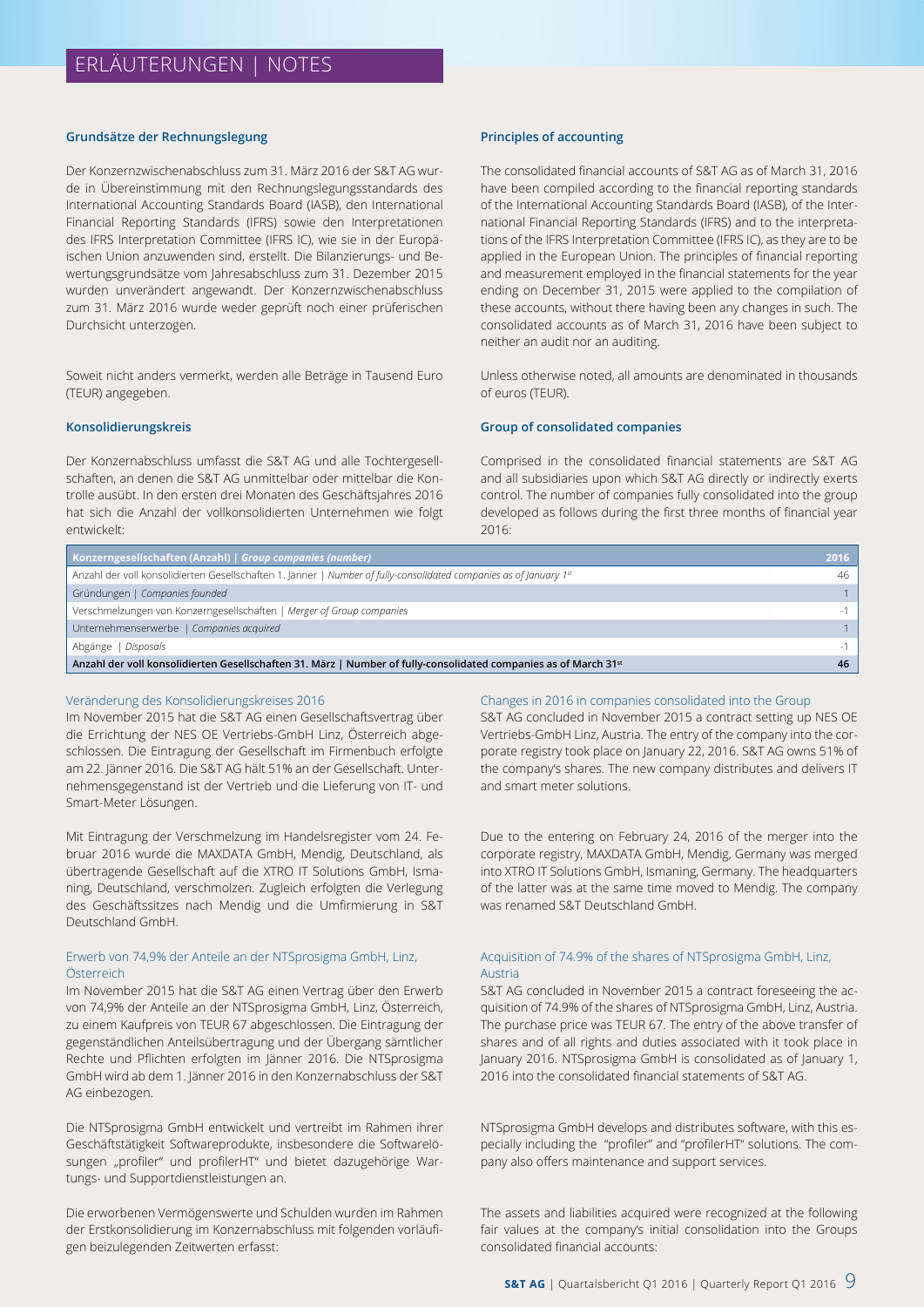#### **Grundsätze der Rechnungslegung**

Der Konzernzwischenabschluss zum 31. März 2016 der S&T AG wurde in Übereinstimmung mit den Rechnungslegungsstandards des International Accounting Standards Board (IASB), den International Financial Reporting Standards (IFRS) sowie den Interpretationen des IFRS Interpretation Committee (IFRS IC), wie sie in der Europäischen Union anzuwenden sind, erstellt. Die Bilanzierungs- und Bewertungsgrundsätze vom Jahresabschluss zum 31. Dezember 2015 wurden unverändert angewandt. Der Konzernzwischenabschluss zum 31. März 2016 wurde weder geprüft noch einer prüferischen Durchsicht unterzogen.

Soweit nicht anders vermerkt, werden alle Beträge in Tausend Euro (TEUR) angegeben.

#### **Konsolidierungskreis**

Der Konzernabschluss umfasst die S&T AG und alle Tochtergesellschaften, an denen die S&T AG unmittelbar oder mittelbar die Kontrolle ausübt. In den ersten drei Monaten des Geschäftsjahres 2016 hat sich die Anzahl der vollkonsolidierten Unternehmen wie folgt entwickelt:

#### **Principles of accounting**

The consolidated financial accounts of S&T AG as of March 31, 2016 have been compiled according to the financial reporting standards of the International Accounting Standards Board (IASB), of the International Financial Reporting Standards (IFRS) and to the interpretations of the IFRS Interpretation Committee (IFRS IC), as they are to be applied in the European Union. The principles of financial reporting and measurement employed in the financial statements for the year ending on December 31, 2015 were applied to the compilation of these accounts, without there having been any changes in such. The consolidated accounts as of March 31, 2016 have been subject to neither an audit nor an auditing.

Unless otherwise noted, all amounts are denominated in thousands of euros (TEUR).

#### **Group of consolidated companies**

Comprised in the consolidated financial statements are S&T AG and all subsidiaries upon which S&T AG directly or indirectly exerts control. The number of companies fully consolidated into the group developed as follows during the first three months of financial year 2016:

| Konzerngesellschaften (Anzahl)   Group companies (number)                                                                    | 2016 |
|------------------------------------------------------------------------------------------------------------------------------|------|
| Anzahl der voll konsolidierten Gesellschaften 1. Jänner   Number of fully-consolidated companies as of January 1st           | 46   |
| Gründungen   Companies founded                                                                                               |      |
| Verschmelzungen von Konzerngesellschaften   Merger of Group companies                                                        |      |
| Unternehmenserwerbe   Companies acquired                                                                                     |      |
| Abgänge   Disposals                                                                                                          |      |
| Anzahl der voll konsolidierten Gesellschaften 31. März   Number of fully-consolidated companies as of March 31 <sup>st</sup> | 46   |

#### Veränderung des Konsolidierungskreises 2016

Im November 2015 hat die S&T AG einen Gesellschaftsvertrag über die Errichtung der NES OE Vertriebs-GmbH Linz, Österreich abgeschlossen. Die Eintragung der Gesellschaft im Firmenbuch erfolgte am 22. Jänner 2016. Die S&T AG hält 51% an der Gesellschaft. Unternehmensgegenstand ist der Vertrieb und die Lieferung von IT- und Smart-Meter Lösungen.

Mit Eintragung der Verschmelzung im Handelsregister vom 24. Februar 2016 wurde die MAXDATA GmbH, Mendig, Deutschland, als übertragende Gesellschaft auf die XTRO IT Solutions GmbH, Ismaning, Deutschland, verschmolzen. Zugleich erfolgten die Verlegung des Geschäftssitzes nach Mendig und die Umfirmierung in S&T Deutschland GmbH.

#### Erwerb von 74,9% der Anteile an der NTSprosigma GmbH, Linz, Österreich

Im November 2015 hat die S&T AG einen Vertrag über den Erwerb von 74,9% der Anteile an der NTSprosigma GmbH, Linz, Österreich, zu einem Kaufpreis von TEUR 67 abgeschlossen. Die Eintragung der gegenständlichen Anteilsübertragung und der Übergang sämtlicher Rechte und Pflichten erfolgten im Jänner 2016. Die NTSprosigma GmbH wird ab dem 1. Jänner 2016 in den Konzernabschluss der S&T AG einbezogen.

Die NTSprosigma GmbH entwickelt und vertreibt im Rahmen ihrer Geschäftstätigkeit Softwareprodukte, insbesondere die Softwarelösungen "profiler" und profilerHT" und bietet dazugehörige Wartungs- und Supportdienstleistungen an.

Die erworbenen Vermögenswerte und Schulden wurden im Rahmen der Erstkonsolidierung im Konzernabschluss mit folgenden vorläufigen beizulegenden Zeitwerten erfasst:

#### Changes in 2016 in companies consolidated into the Group

S&T AG concluded in November 2015 a contract setting up NES OE Vertriebs-GmbH Linz, Austria. The entry of the company into the corporate registry took place on January 22, 2016. S&T AG owns 51% of the company's shares. The new company distributes and delivers IT and smart meter solutions.

Due to the entering on February 24, 2016 of the merger into the corporate registry, MAXDATA GmbH, Mendig, Germany was merged into XTRO IT Solutions GmbH, Ismaning, Germany. The headquarters of the latter was at the same time moved to Mendig. The company was renamed S&T Deutschland GmbH.

#### Acquisition of 74.9% of the shares of NTSprosigma GmbH, Linz, Austria

S&T AG concluded in November 2015 a contract foreseeing the acquisition of 74.9% of the shares of NTSprosigma GmbH, Linz, Austria. The purchase price was TEUR 67. The entry of the above transfer of shares and of all rights and duties associated with it took place in January 2016. NTSprosigma GmbH is consolidated as of January 1, 2016 into the consolidated financial statements of S&T AG.

NTSprosigma GmbH develops and distributes software, with this especially including the "profiler" and "profilerHT" solutions. The company also offers maintenance and support services.

The assets and liabilities acquired were recognized at the following fair values at the company's initial consolidation into the Groups consolidated financial accounts: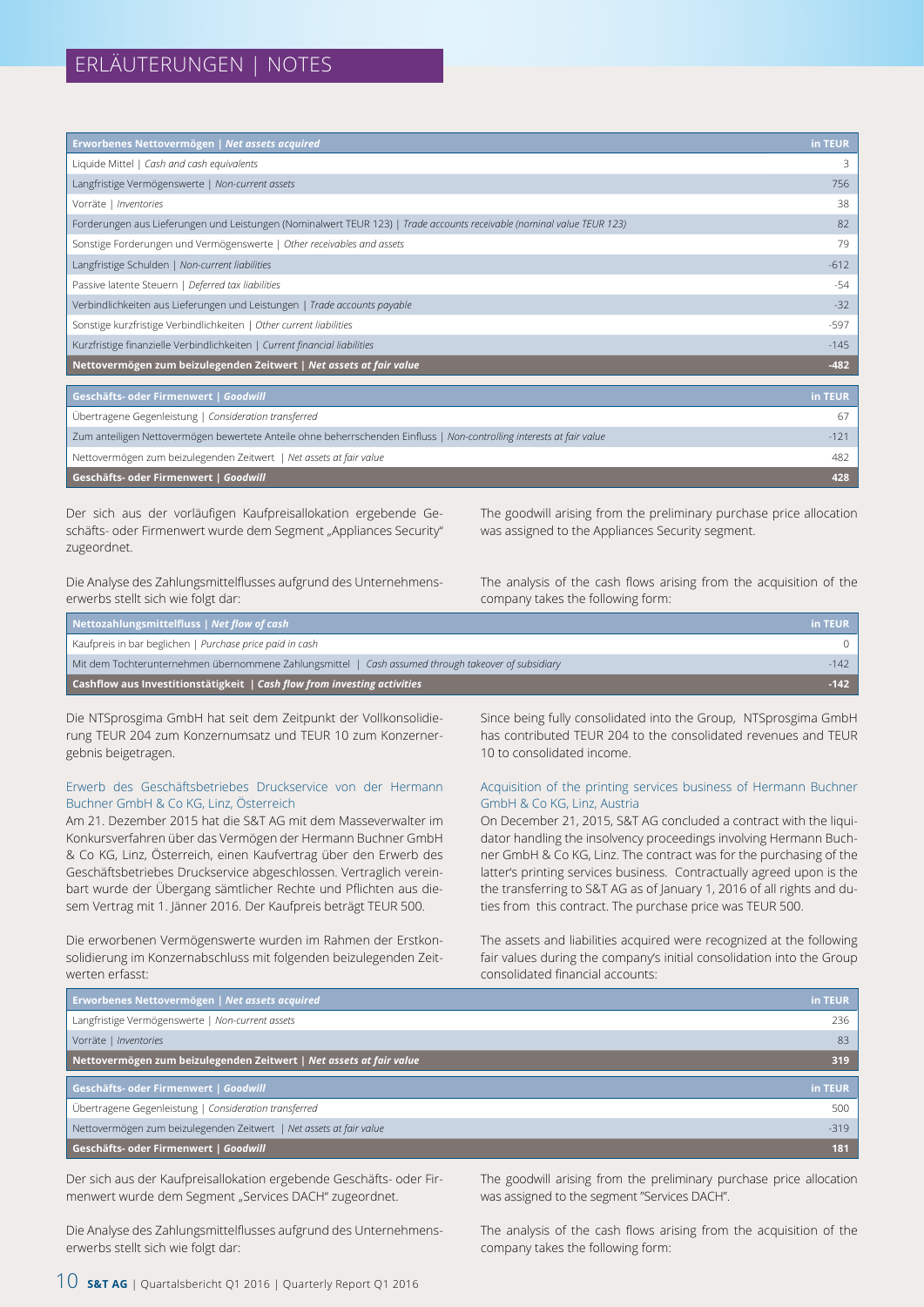| Erworbenes Nettovermögen   Net assets acquired                                                                         | in TEUR |
|------------------------------------------------------------------------------------------------------------------------|---------|
| Liquide Mittel   Cash and cash equivalents                                                                             | 3       |
| Langfristige Vermögenswerte   Non-current assets                                                                       | 756     |
| Vorräte   Inventories                                                                                                  | 38      |
| Forderungen aus Lieferungen und Leistungen (Nominalwert TEUR 123)   Trade accounts receivable (nominal value TEUR 123) | 82      |
| Sonstige Forderungen und Vermögenswerte   Other receivables and assets                                                 | 79      |
| Langfristige Schulden   Non-current liabilities                                                                        | $-612$  |
| Passive latente Steuern   Deferred tax liabilities                                                                     | $-54$   |
| Verbindlichkeiten aus Lieferungen und Leistungen   Trade accounts payable                                              | $-32$   |
| Sonstige kurzfristige Verbindlichkeiten   Other current liabilities                                                    | $-597$  |
| Kurzfristige finanzielle Verbindlichkeiten   Current financial liabilities                                             | $-145$  |
| Nettovermögen zum beizulegenden Zeitwert   Net assets at fair value                                                    | $-482$  |
|                                                                                                                        |         |
| Geschäfts- oder Firmenwert   Goodwill                                                                                  | in TEUR |
| film a secondo de la Caractería de la caractería de la caractería de la caractería de la caractería de la cara         | $\sim$  |

| Geschäfts- oder Firmenwert   Goodwill                                                                                 | 428  |
|-----------------------------------------------------------------------------------------------------------------------|------|
| Nettovermögen zum beizulegenden Zeitwert   Net assets at fair value                                                   | 482. |
| Zum anteiligen Nettovermögen bewertete Anteile ohne beherrschenden Einfluss   Non-controlling interests at fair value |      |
| Ubertragene Gegenleistung   Consideration transferred                                                                 |      |

Der sich aus der vorläufigen Kaufpreisallokation ergebende Geschäfts- oder Firmenwert wurde dem Segment "Appliances Security" zugeordnet.

Die Analyse des Zahlungsmittelflusses aufgrund des Unternehmenserwerbs stellt sich wie folgt dar:

The goodwill arising from the preliminary purchase price allocation was assigned to the Appliances Security segment.

The analysis of the cash flows arising from the acquisition of the company takes the following form:

| Nettozahlungsmittelfluss   Net flow of cash                                                         | in TEUR |
|-----------------------------------------------------------------------------------------------------|---------|
| Kaufpreis in bar beglichen   Purchase price paid in cash                                            |         |
| Mit dem Tochterunternehmen übernommene Zahlungsmittel   Cash assumed through takeover of subsidiary | $-142$  |
| Cashflow aus Investitionstätigkeit $\sqrt{\frac{1}{1}}$ Cash flow from investing activities         | $-142$  |

Die NTSprosgima GmbH hat seit dem Zeitpunkt der Vollkonsolidierung TEUR 204 zum Konzernumsatz und TEUR 10 zum Konzernergebnis beigetragen.

#### Erwerb des Geschäftsbetriebes Druckservice von der Hermann Buchner GmbH & Co KG, Linz, Österreich

Am 21. Dezember 2015 hat die S&T AG mit dem Masseverwalter im Konkursverfahren über das Vermögen der Hermann Buchner GmbH & Co KG, Linz, Österreich, einen Kaufvertrag über den Erwerb des Geschäftsbetriebes Druckservice abgeschlossen. Vertraglich vereinbart wurde der Übergang sämtlicher Rechte und Pflichten aus diesem Vertrag mit 1. Jänner 2016. Der Kaufpreis beträgt TEUR 500.

Die erworbenen Vermögenswerte wurden im Rahmen der Erstkonsolidierung im Konzernabschluss mit folgenden beizulegenden Zeitwerten erfasst:

Since being fully consolidated into the Group, NTSprosgima GmbH has contributed TEUR 204 to the consolidated revenues and TEUR 10 to consolidated income.

#### Acquisition of the printing services business of Hermann Buchner GmbH & Co KG, Linz, Austria

On December 21, 2015, S&T AG concluded a contract with the liquidator handling the insolvency proceedings involving Hermann Buchner GmbH & Co KG, Linz. The contract was for the purchasing of the latter's printing services business. Contractually agreed upon is the the transferring to S&T AG as of January 1, 2016 of all rights and duties from this contract. The purchase price was TEUR 500.

The assets and liabilities acquired were recognized at the following fair values during the company's initial consolidation into the Group consolidated financial accounts:

| Erworbenes Nettovermögen   Net assets acquired                      | in TEUR |
|---------------------------------------------------------------------|---------|
| Langfristige Vermögenswerte   Non-current assets                    | 236     |
| Vorräte   Inventories                                               | 83      |
| Nettovermögen zum beizulegenden Zeitwert   Net assets at fair value | 319     |
|                                                                     |         |
| Geschäfts- oder Firmenwert   Goodwill                               | in TEUR |
| Übertragene Gegenleistung   Consideration transferred               | 500     |
| Nettovermögen zum beizulegenden Zeitwert   Net assets at fair value | $-319$  |

Der sich aus der Kaufpreisallokation ergebende Geschäfts- oder Firmenwert wurde dem Segment "Services DACH" zugeordnet.

Die Analyse des Zahlungsmittelflusses aufgrund des Unternehmenserwerbs stellt sich wie folgt dar:

The goodwill arising from the preliminary purchase price allocation was assigned to the segment "Services DACH".

The analysis of the cash flows arising from the acquisition of the company takes the following form: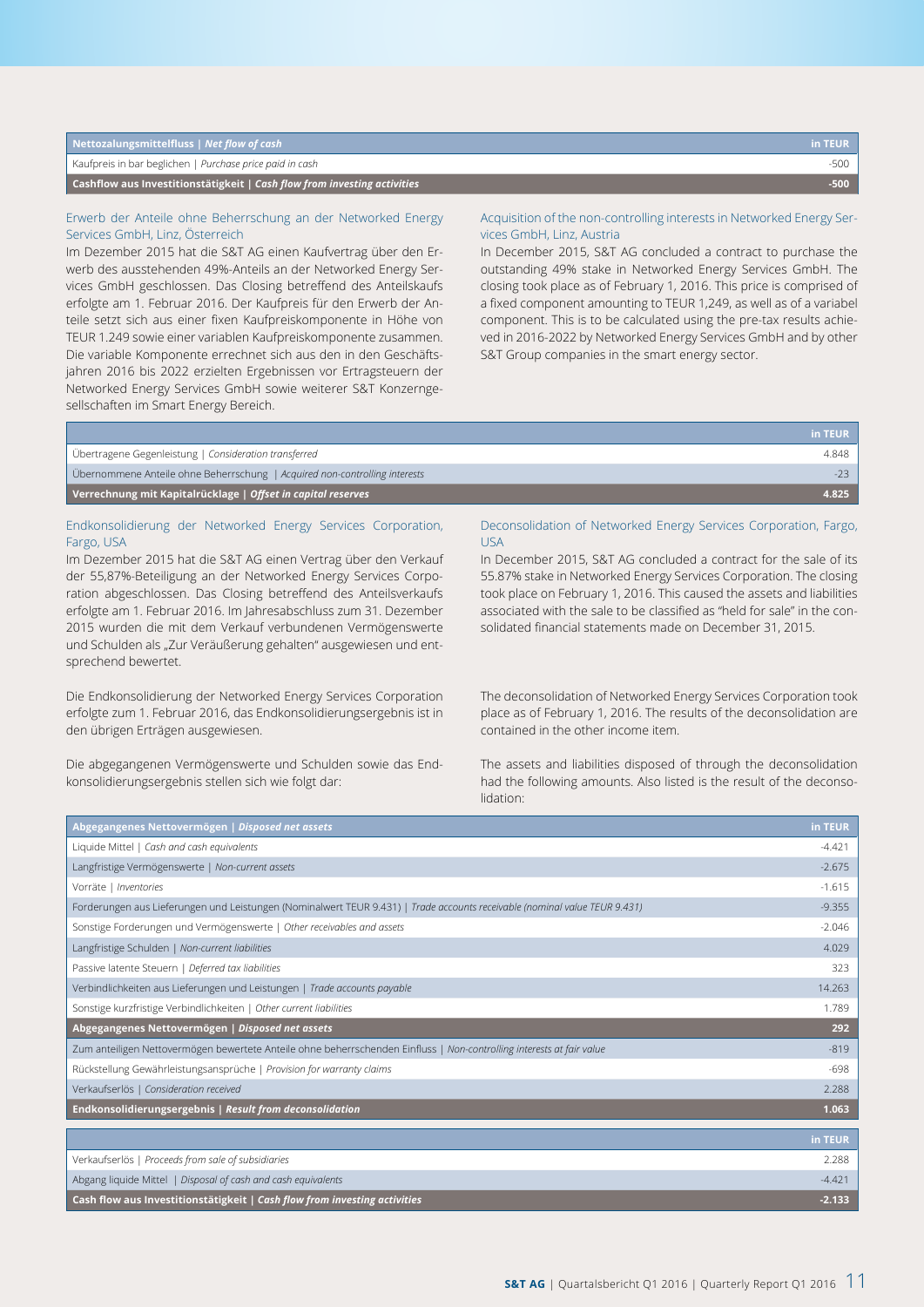| Nettozalungsmittelfluss   Net flow of cash                                                   | in TEUR |
|----------------------------------------------------------------------------------------------|---------|
| Kaufpreis in bar beglichen   Purchase price paid in cash                                     | -500    |
| <b>Cashflow aus Investitionstätigkeit</b> $\overline{C}$ Cash flow from investing activities | -500    |

#### Erwerb der Anteile ohne Beherrschung an der Networked Energy Services GmbH, Linz, Österreich

Im Dezember 2015 hat die S&T AG einen Kaufvertrag über den Erwerb des ausstehenden 49%-Anteils an der Networked Energy Services GmbH geschlossen. Das Closing betreffend des Anteilskaufs erfolgte am 1. Februar 2016. Der Kaufpreis für den Erwerb der Anteile setzt sich aus einer fixen Kaufpreiskomponente in Höhe von TEUR 1.249 sowie einer variablen Kaufpreiskomponente zusammen. Die variable Komponente errechnet sich aus den in den Geschäftsjahren 2016 bis 2022 erzielten Ergebnissen vor Ertragsteuern der Networked Energy Services GmbH sowie weiterer S&T Konzerngesellschaften im Smart Energy Bereich.

#### Acquisition of the non-controlling interests in Networked Energy Services GmbH, Linz, Austria

In December 2015, S&T AG concluded a contract to purchase the outstanding 49% stake in Networked Energy Services GmbH. The closing took place as of February 1, 2016. This price is comprised of a fixed component amounting to TEUR 1,249, as well as of a variabel component. This is to be calculated using the pre-tax results achieved in 2016-2022 by Networked Energy Services GmbH and by other S&T Group companies in the smart energy sector.

|                                                                            | in TEUR l |
|----------------------------------------------------------------------------|-----------|
| Übertragene Gegenleistung   Consideration transferred                      | 4.848     |
| Übernommene Anteile ohne Beherrschung   Acquired non-controlling interests |           |
| Verrechnung mit Kapitalrücklage   Offset in capital reserves               | 4.825     |
|                                                                            |           |

#### Endkonsolidierung der Networked Energy Services Corporation, Fargo, USA

Im Dezember 2015 hat die S&T AG einen Vertrag über den Verkauf der 55,87%-Beteiligung an der Networked Energy Services Corporation abgeschlossen. Das Closing betreffend des Anteilsverkaufs erfolgte am 1. Februar 2016. Im Jahresabschluss zum 31. Dezember 2015 wurden die mit dem Verkauf verbundenen Vermögenswerte und Schulden als "Zur Veräußerung gehalten" ausgewiesen und entsprechend bewertet.

Die Endkonsolidierung der Networked Energy Services Corporation erfolgte zum 1. Februar 2016, das Endkonsolidierungsergebnis ist in den übrigen Erträgen ausgewiesen.

Die abgegangenen Vermögenswerte und Schulden sowie das Endkonsolidierungsergebnis stellen sich wie folgt dar:

#### Deconsolidation of Networked Energy Services Corporation, Fargo, USA

In December 2015, S&T AG concluded a contract for the sale of its 55.87% stake in Networked Energy Services Corporation. The closing took place on February 1, 2016. This caused the assets and liabilities associated with the sale to be classified as "held for sale" in the consolidated financial statements made on December 31, 2015.

The deconsolidation of Networked Energy Services Corporation took place as of February 1, 2016. The results of the deconsolidation are contained in the other income item.

The assets and liabilities disposed of through the deconsolidation had the following amounts. Also listed is the result of the deconsolidation:

| Abgegangenes Nettovermögen   Disposed net assets                                                                           | in TEUR  |
|----------------------------------------------------------------------------------------------------------------------------|----------|
| Liquide Mittel   Cash and cash equivalents                                                                                 | $-4.421$ |
| Langfristige Vermögenswerte   Non-current assets                                                                           | $-2.675$ |
| Vorräte   Inventories                                                                                                      | $-1.615$ |
| Forderungen aus Lieferungen und Leistungen (Nominalwert TEUR 9.431)   Trade accounts receivable (nominal value TEUR 9.431) | $-9.355$ |
| Sonstige Forderungen und Vermögenswerte   Other receivables and assets                                                     | $-2.046$ |
| Langfristige Schulden   Non-current liabilities                                                                            | 4.029    |
| Passive latente Steuern   Deferred tax liabilities                                                                         | 323      |
| Verbindlichkeiten aus Lieferungen und Leistungen   Trade accounts payable                                                  | 14.263   |
| Sonstige kurzfristige Verbindlichkeiten   Other current liabilities                                                        | 1.789    |
| Abgegangenes Nettovermögen   Disposed net assets                                                                           | 292      |
| Zum anteiligen Nettovermögen bewertete Anteile ohne beherrschenden Einfluss   Non-controlling interests at fair value      | $-819$   |
| Rückstellung Gewährleistungsansprüche   Provision for warranty claims                                                      | $-698$   |
| Verkaufserlös   Consideration received                                                                                     | 2.288    |
| Endkonsolidierungsergebnis   Result from deconsolidation                                                                   | 1.063    |
|                                                                                                                            |          |
|                                                                                                                            | in TEUR  |
| Verkaufserlös   Proceeds from sale of subsidiaries                                                                         | 2.288    |
| Abgang liquide Mittel   Disposal of cash and cash equivalents                                                              | $-4.421$ |
| Cash flow aus Investitionstätigkeit   Cash flow from investing activities                                                  | $-2.133$ |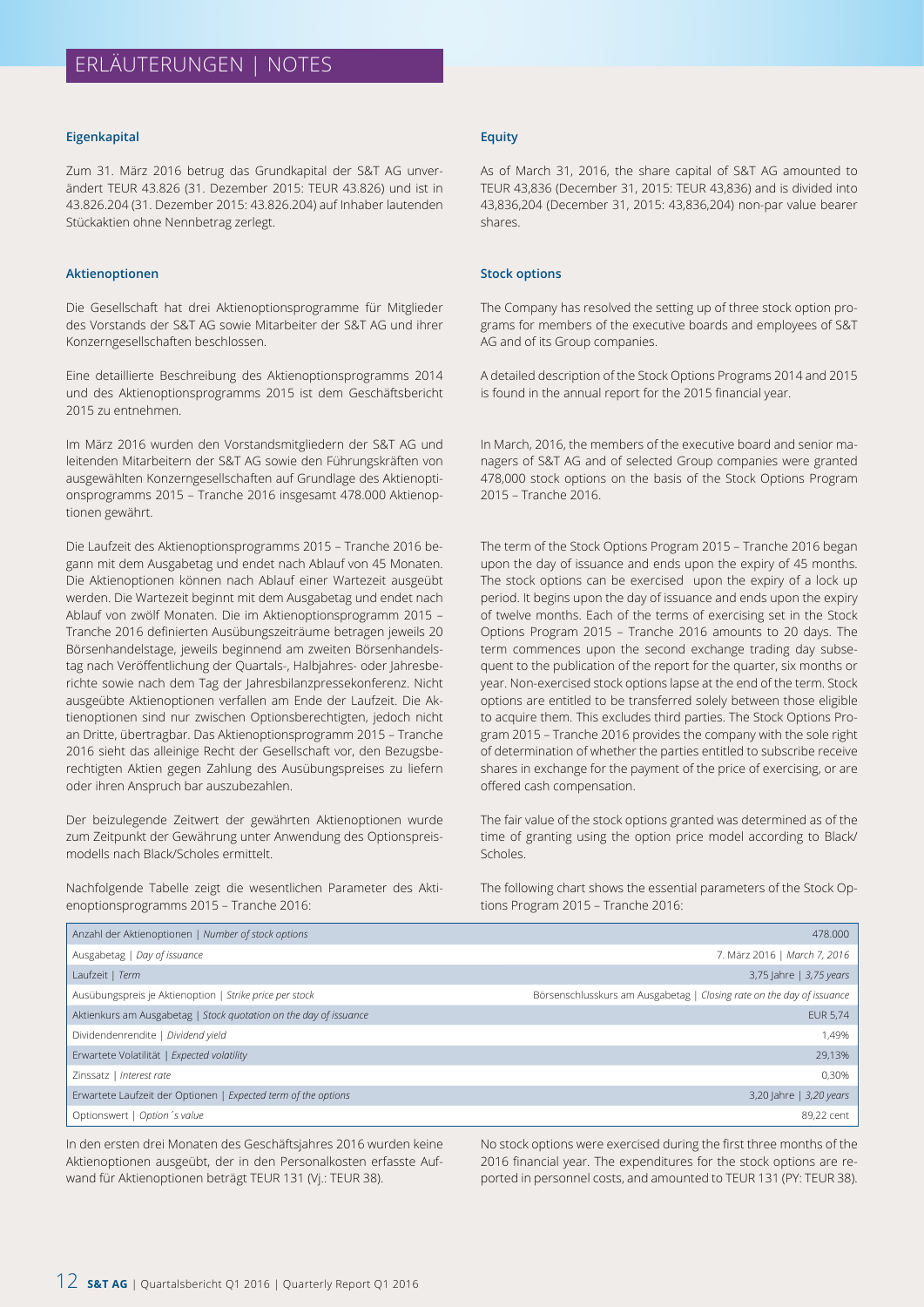#### **Eigenkapital**

Zum 31. März 2016 betrug das Grundkapital der S&T AG unverändert TEUR 43.826 (31. Dezember 2015: TEUR 43.826) und ist in 43.826.204 (31. Dezember 2015: 43.826.204) auf Inhaber lautenden Stückaktien ohne Nennbetrag zerlegt.

#### **Aktienoptionen**

Die Gesellschaft hat drei Aktienoptionsprogramme für Mitglieder des Vorstands der S&T AG sowie Mitarbeiter der S&T AG und ihrer Konzerngesellschaften beschlossen.

Eine detaillierte Beschreibung des Aktienoptionsprogramms 2014 und des Aktienoptionsprogramms 2015 ist dem Geschäftsbericht 2015 zu entnehmen.

Im März 2016 wurden den Vorstandsmitgliedern der S&T AG und leitenden Mitarbeitern der S&T AG sowie den Führungskräften von ausgewählten Konzerngesellschaften auf Grundlage des Aktienoptionsprogramms 2015 – Tranche 2016 insgesamt 478.000 Aktienoptionen gewährt.

Die Laufzeit des Aktienoptionsprogramms 2015 – Tranche 2016 begann mit dem Ausgabetag und endet nach Ablauf von 45 Monaten. Die Aktienoptionen können nach Ablauf einer Wartezeit ausgeübt werden. Die Wartezeit beginnt mit dem Ausgabetag und endet nach Ablauf von zwölf Monaten. Die im Aktienoptionsprogramm 2015 – Tranche 2016 definierten Ausübungszeiträume betragen jeweils 20 Börsenhandelstage, jeweils beginnend am zweiten Börsenhandelstag nach Veröffentlichung der Quartals-, Halbjahres- oder Jahresberichte sowie nach dem Tag der Jahresbilanzpressekonferenz. Nicht ausgeübte Aktienoptionen verfallen am Ende der Laufzeit. Die Aktienoptionen sind nur zwischen Optionsberechtigten, jedoch nicht an Dritte, übertragbar. Das Aktienoptionsprogramm 2015 – Tranche 2016 sieht das alleinige Recht der Gesellschaft vor, den Bezugsberechtigten Aktien gegen Zahlung des Ausübungspreises zu liefern oder ihren Anspruch bar auszubezahlen.

Der beizulegende Zeitwert der gewährten Aktienoptionen wurde zum Zeitpunkt der Gewährung unter Anwendung des Optionspreismodells nach Black/Scholes ermittelt.

Nachfolgende Tabelle zeigt die wesentlichen Parameter des Aktienoptionsprogramms 2015 – Tranche 2016:

#### **Equity**

As of March 31, 2016, the share capital of S&T AG amounted to TEUR 43,836 (December 31, 2015: TEUR 43,836) and is divided into 43,836,204 (December 31, 2015: 43,836,204) non-par value bearer shares.

#### **Stock options**

The Company has resolved the setting up of three stock option programs for members of the executive boards and employees of S&T AG and of its Group companies.

A detailed description of the Stock Options Programs 2014 and 2015 is found in the annual report for the 2015 financial year.

In March, 2016, the members of the executive board and senior managers of S&T AG and of selected Group companies were granted 478,000 stock options on the basis of the Stock Options Program 2015 – Tranche 2016.

The term of the Stock Options Program 2015 – Tranche 2016 began upon the day of issuance and ends upon the expiry of 45 months. The stock options can be exercised upon the expiry of a lock up period. It begins upon the day of issuance and ends upon the expiry of twelve months. Each of the terms of exercising set in the Stock Options Program 2015 – Tranche 2016 amounts to 20 days. The term commences upon the second exchange trading day subsequent to the publication of the report for the quarter, six months or year. Non-exercised stock options lapse at the end of the term. Stock options are entitled to be transferred solely between those eligible to acquire them. This excludes third parties. The Stock Options Program 2015 – Tranche 2016 provides the company with the sole right of determination of whether the parties entitled to subscribe receive shares in exchange for the payment of the price of exercising, or are offered cash compensation.

The fair value of the stock options granted was determined as of the time of granting using the option price model according to Black/ Scholes.

The following chart shows the essential parameters of the Stock Options Program 2015 – Tranche 2016:

| Anzahl der Aktienoptionen   Number of stock options               | 478.000                                                               |
|-------------------------------------------------------------------|-----------------------------------------------------------------------|
| Ausgabetag   Day of issuance                                      | 7. März 2016   March 7, 2016                                          |
| Laufzeit   Term                                                   | 3,75 Jahre   3,75 years                                               |
| Ausübungspreis je Aktienoption   Strike price per stock           | Börsenschlusskurs am Ausgabetag   Closing rate on the day of issuance |
| Aktienkurs am Ausgabetag   Stock quotation on the day of issuance | <b>EUR 5,74</b>                                                       |
| Dividendenrendite   Dividend yield                                | 1.49%                                                                 |
| Erwartete Volatilität   Expected volatility                       | 29,13%                                                                |
| Zinssatz   Interest rate                                          | 0.30%                                                                 |
| Erwartete Laufzeit der Optionen   Expected term of the options    | 3,20 Jahre   3,20 years                                               |
| Optionswert   Option 's value                                     | 89,22 cent                                                            |

In den ersten drei Monaten des Geschäftsjahres 2016 wurden keine Aktienoptionen ausgeübt, der in den Personalkosten erfasste Aufwand für Aktienoptionen beträgt TEUR 131 (Vj.: TEUR 38).

No stock options were exercised during the first three months of the 2016 financial year. The expenditures for the stock options are reported in personnel costs, and amounted to TEUR 131 (PY: TEUR 38).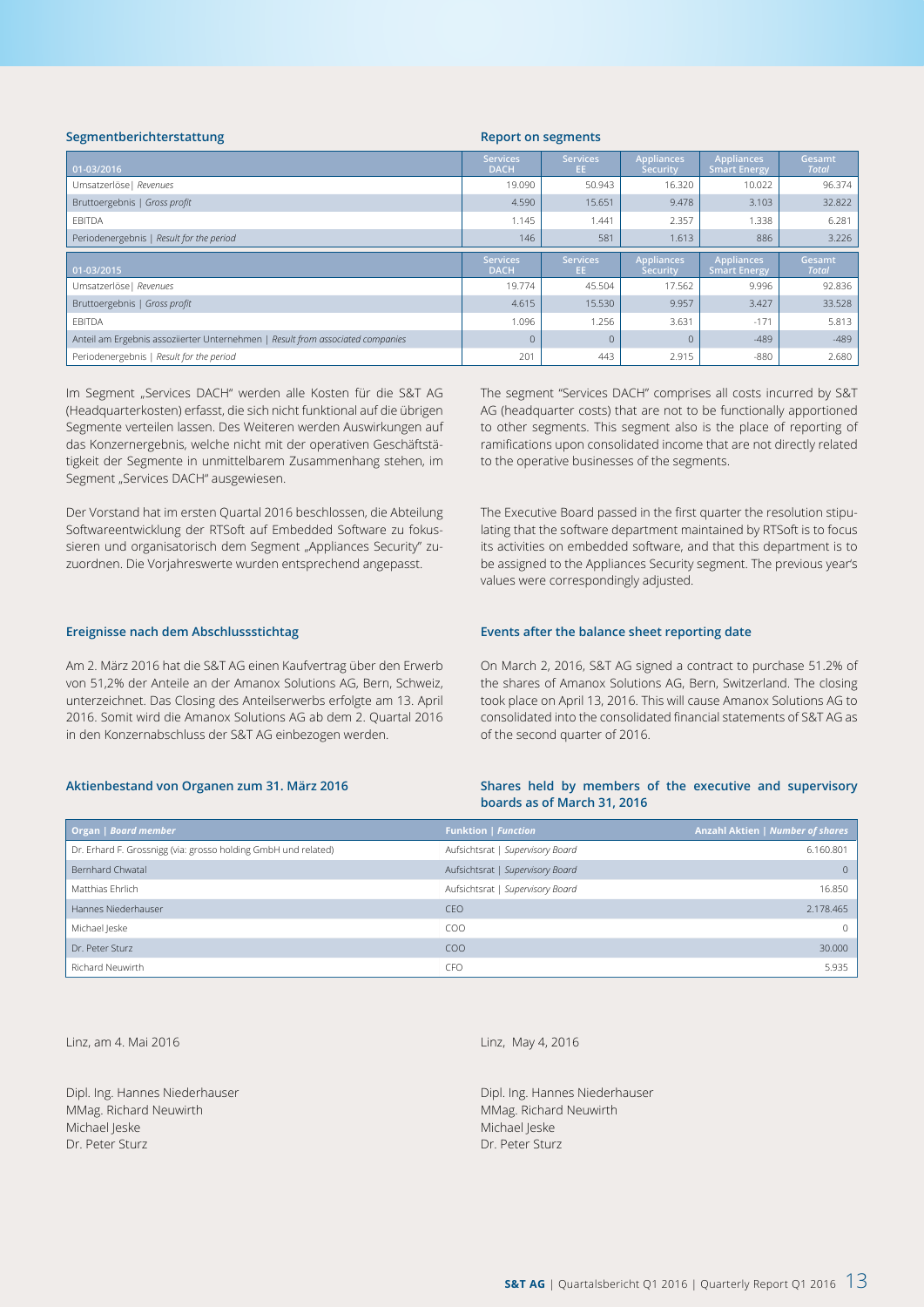| Segmentberichterstattung<br><b>Report on segments</b>                          |                                |                        |                                      |                                          |                        |
|--------------------------------------------------------------------------------|--------------------------------|------------------------|--------------------------------------|------------------------------------------|------------------------|
| $\boxed{01-03/2016}$                                                           | <b>Services</b><br><b>DACH</b> | <b>Services</b><br>EE. | <b>Appliances</b><br><b>Security</b> | <b>Appliances</b><br><b>Smart Energy</b> | Gesamt<br><b>Total</b> |
| Umsatzerlöse   Revenues                                                        | 19.090                         | 50.943                 | 16.320                               | 10.022                                   | 96.374                 |
| Bruttoergebnis   Gross profit                                                  | 4.590                          | 15.651                 | 9.478                                | 3.103                                    | 32.822                 |
| <b>EBITDA</b>                                                                  | 1.145                          | .441                   | 2.357                                | 1.338                                    | 6.281                  |
| Periodenergebnis   Result for the period                                       | 146                            | 581                    | 1.613                                | 886                                      | 3.226                  |
|                                                                                |                                |                        |                                      |                                          |                        |
| $01-03/2015$                                                                   | <b>Services</b><br><b>DACH</b> | <b>Services</b><br>EE. | <b>Appliances</b><br><b>Security</b> | <b>Appliances</b><br><b>Smart Energy</b> | Gesamt<br><b>Total</b> |
| Umsatzerlöse   Revenues                                                        | 19.774                         | 45.504                 | 17.562                               | 9.996                                    | 92.836                 |
| Bruttoergebnis   Gross profit                                                  | 4.615                          | 15.530                 | 9.957                                | 3.427                                    | 33.528                 |
| <b>EBITDA</b>                                                                  | 1.096                          | 1.256                  | 3.631                                | $-171$                                   | 5.813                  |
| Anteil am Ergebnis assoziierter Unternehmen   Result from associated companies | $\Omega$                       | $\Omega$               |                                      | $-489$                                   | $-489$                 |

Im Segment "Services DACH" werden alle Kosten für die S&T AG (Headquarterkosten) erfasst, die sich nicht funktional auf die übrigen Segmente verteilen lassen. Des Weiteren werden Auswirkungen auf das Konzernergebnis, welche nicht mit der operativen Geschäftstätigkeit der Segmente in unmittelbarem Zusammenhang stehen, im Segment "Services DACH" ausgewiesen.

Der Vorstand hat im ersten Quartal 2016 beschlossen, die Abteilung Softwareentwicklung der RTSoft auf Embedded Software zu fokussieren und organisatorisch dem Segment "Appliances Security" zuzuordnen. Die Vorjahreswerte wurden entsprechend angepasst.

The segment "Services DACH" comprises all costs incurred by S&T AG (headquarter costs) that are not to be functionally apportioned to other segments. This segment also is the place of reporting of ramifications upon consolidated income that are not directly related to the operative businesses of the segments.

The Executive Board passed in the first quarter the resolution stipulating that the software department maintained by RTSoft is to focus its activities on embedded software, and that this department is to be assigned to the Appliances Security segment. The previous year's values were correspondingly adjusted.

#### **Ereignisse nach dem Abschlussstichtag**

Am 2. März 2016 hat die S&T AG einen Kaufvertrag über den Erwerb von 51,2% der Anteile an der Amanox Solutions AG, Bern, Schweiz, unterzeichnet. Das Closing des Anteilserwerbs erfolgte am 13. April 2016. Somit wird die Amanox Solutions AG ab dem 2. Quartal 2016 in den Konzernabschluss der S&T AG einbezogen werden.

#### **Aktienbestand von Organen zum 31. März 2016**

#### **Events after the balance sheet reporting date**

On March 2, 2016, S&T AG signed a contract to purchase 51.2% of the shares of Amanox Solutions AG, Bern, Switzerland. The closing took place on April 13, 2016. This will cause Amanox Solutions AG to consolidated into the consolidated financial statements of S&T AG as of the second quarter of 2016.

#### **Shares held by members of the executive and supervisory boards as of March 31, 2016**

| Organ   Board member                                           | <b>Funktion   Function</b>       | <b>Anzahl Aktien   Number of shares</b> |
|----------------------------------------------------------------|----------------------------------|-----------------------------------------|
| Dr. Erhard F. Grossnigg (via: grosso holding GmbH und related) | Aufsichtsrat   Supervisory Board | 6.160.801                               |
| Bernhard Chwatal                                               | Aufsichtsrat   Supervisory Board | $\Omega$                                |
| Matthias Ehrlich                                               | Aufsichtsrat   Supervisory Board | 16.850                                  |
| Hannes Niederhauser                                            | CEO                              | 2.178.465                               |
| Michael Jeske                                                  | CO <sub>O</sub>                  | $\Omega$                                |
| Dr. Peter Sturz                                                | CO <sub>O</sub>                  | 30,000                                  |
| Richard Neuwirth                                               | <b>CFO</b>                       | 5.935                                   |

Linz, am 4. Mai 2016

Dipl. Ing. Hannes Niederhauser MMag. Richard Neuwirth Michael Jeske Dr. Peter Sturz

Linz, May 4, 2016

Dipl. Ing. Hannes Niederhauser MMag. Richard Neuwirth Michael Jeske Dr. Peter Sturz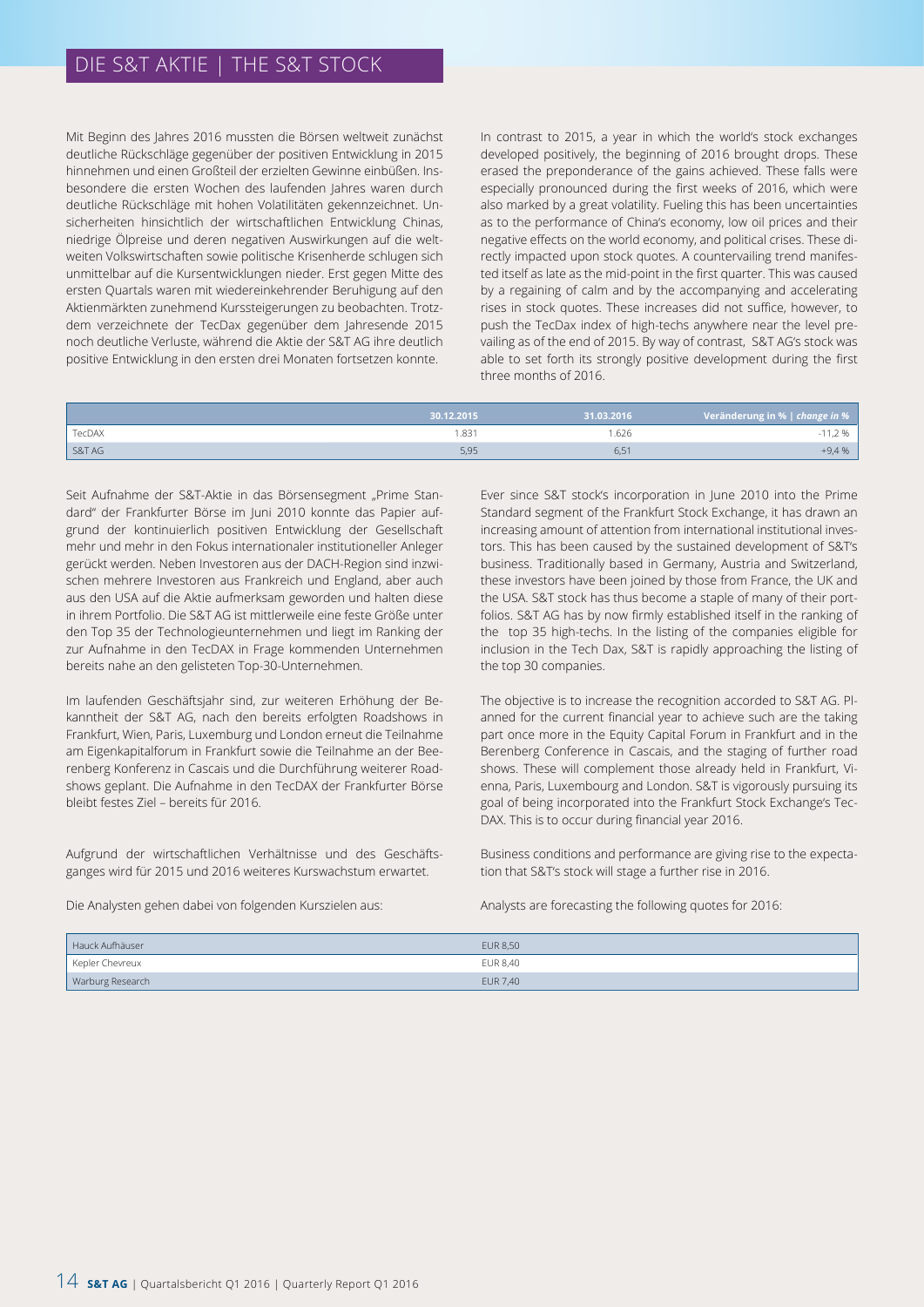Mit Beginn des Jahres 2016 mussten die Börsen weltweit zunächst deutliche Rückschläge gegenüber der positiven Entwicklung in 2015 hinnehmen und einen Großteil der erzielten Gewinne einbüßen. Insbesondere die ersten Wochen des laufenden Jahres waren durch deutliche Rückschläge mit hohen Volatilitäten gekennzeichnet. Unsicherheiten hinsichtlich der wirtschaftlichen Entwicklung Chinas, niedrige Ölpreise und deren negativen Auswirkungen auf die weltweiten Volkswirtschaften sowie politische Krisenherde schlugen sich unmittelbar auf die Kursentwicklungen nieder. Erst gegen Mitte des ersten Quartals waren mit wiedereinkehrender Beruhigung auf den Aktienmärkten zunehmend Kurssteigerungen zu beobachten. Trotzdem verzeichnete der TecDax gegenüber dem Jahresende 2015 noch deutliche Verluste, während die Aktie der S&T AG ihre deutlich positive Entwicklung in den ersten drei Monaten fortsetzen konnte.

In contrast to 2015, a year in which the world's stock exchanges developed positively, the beginning of 2016 brought drops. These erased the preponderance of the gains achieved. These falls were especially pronounced during the first weeks of 2016, which were also marked by a great volatility. Fueling this has been uncertainties as to the performance of China's economy, low oil prices and their negative effects on the world economy, and political crises. These directly impacted upon stock quotes. A countervailing trend manifested itself as late as the mid-point in the first quarter. This was caused by a regaining of calm and by the accompanying and accelerating rises in stock quotes. These increases did not suffice, however, to push the TecDax index of high-techs anywhere near the level prevailing as of the end of 2015. By way of contrast, S&T AG's stock was able to set forth its strongly positive development during the first three months of 2016.

|        | 30.12.2015 | 31.03.2016 | Veränderung in %   change in % |
|--------|------------|------------|--------------------------------|
| TecDAX | 1.831      | 1.626      | $06 -$                         |
| S&T AG | 5,95       | 6,51       | $+9,4%$                        |

Seit Aufnahme der S&T-Aktie in das Börsensegment "Prime Standard" der Frankfurter Börse im Juni 2010 konnte das Papier aufgrund der kontinuierlich positiven Entwicklung der Gesellschaft mehr und mehr in den Fokus internationaler institutioneller Anleger gerückt werden. Neben Investoren aus der DACH-Region sind inzwischen mehrere Investoren aus Frankreich und England, aber auch aus den USA auf die Aktie aufmerksam geworden und halten diese in ihrem Portfolio. Die S&T AG ist mittlerweile eine feste Größe unter den Top 35 der Technologieunternehmen und liegt im Ranking der zur Aufnahme in den TecDAX in Frage kommenden Unternehmen bereits nahe an den gelisteten Top-30-Unternehmen.

Im laufenden Geschäftsjahr sind, zur weiteren Erhöhung der Bekanntheit der S&T AG, nach den bereits erfolgten Roadshows in Frankfurt, Wien, Paris, Luxemburg und London erneut die Teilnahme am Eigenkapitalforum in Frankfurt sowie die Teilnahme an der Beerenberg Konferenz in Cascais und die Durchführung weiterer Roadshows geplant. Die Aufnahme in den TecDAX der Frankfurter Börse bleibt festes Ziel – bereits für 2016.

Aufgrund der wirtschaftlichen Verhältnisse und des Geschäftsganges wird für 2015 und 2016 weiteres Kurswachstum erwartet.

Die Analysten gehen dabei von folgenden Kurszielen aus:

Ever since S&T stock's incorporation in June 2010 into the Prime Standard segment of the Frankfurt Stock Exchange, it has drawn an increasing amount of attention from international institutional investors. This has been caused by the sustained development of S&T's business. Traditionally based in Germany, Austria and Switzerland, these investors have been joined by those from France, the UK and the USA. S&T stock has thus become a staple of many of their portfolios. S&T AG has by now firmly established itself in the ranking of the top 35 high-techs. In the listing of the companies eligible for inclusion in the Tech Dax, S&T is rapidly approaching the listing of the top 30 companies.

The objective is to increase the recognition accorded to S&T AG. Planned for the current financial year to achieve such are the taking part once more in the Equity Capital Forum in Frankfurt and in the Berenberg Conference in Cascais, and the staging of further road shows. These will complement those already held in Frankfurt, Vienna, Paris, Luxembourg and London. S&T is vigorously pursuing its goal of being incorporated into the Frankfurt Stock Exchange's Tec-DAX. This is to occur during financial year 2016.

Business conditions and performance are giving rise to the expectation that S&T's stock will stage a further rise in 2016.

Analysts are forecasting the following quotes for 2016:

| Hauck Aufhäuser  | <b>EUR 8,50</b> |
|------------------|-----------------|
| Kepler Chevreux  | EUR 8,40        |
| Warburg Research | <b>EUR 7,40</b> |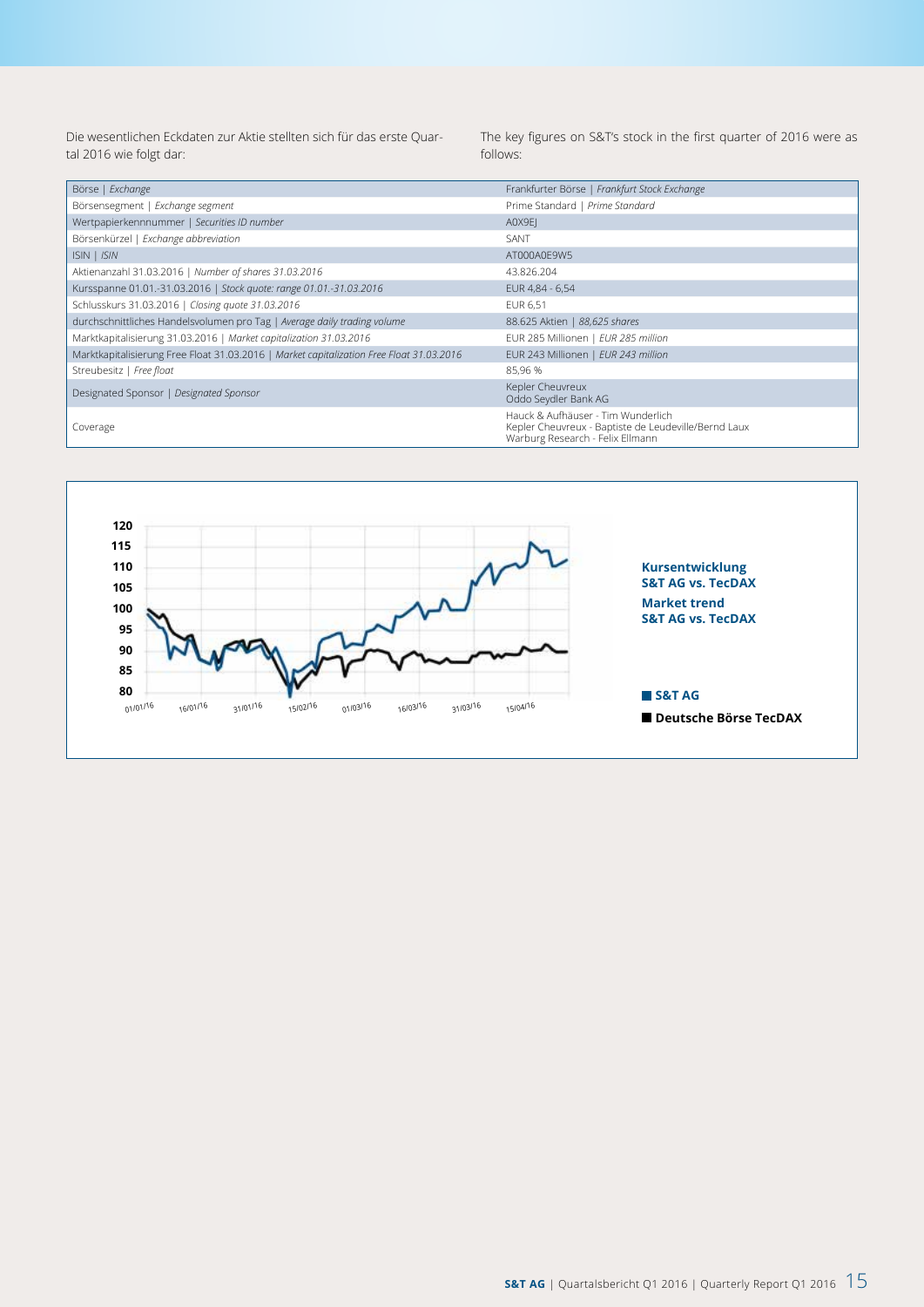Die wesentlichen Eckdaten zur Aktie stellten sich für das erste Quartal 2016 wie folgt dar:

The key figures on S&T's stock in the first quarter of 2016 were as follows:

| Börse   Exchange                                                                         | Frankfurter Börse   Frankfurt Stock Exchange                                                                                   |
|------------------------------------------------------------------------------------------|--------------------------------------------------------------------------------------------------------------------------------|
| Börsensegment   Exchange segment                                                         | Prime Standard   Prime Standard                                                                                                |
| Wertpapierkennnummer   Securities ID number                                              | A0X9EI                                                                                                                         |
| Börsenkürzel   Exchange abbreviation                                                     | SANT                                                                                                                           |
| ISIN   ISIN                                                                              | AT000A0E9W5                                                                                                                    |
| Aktienanzahl 31.03.2016   Number of shares 31.03.2016                                    | 43.826.204                                                                                                                     |
| Kursspanne 01.01.-31.03.2016   Stock quote: range 01.01.-31.03.2016                      | EUR 4,84 - 6,54                                                                                                                |
| Schlusskurs 31.03.2016   Closing quote 31.03.2016                                        | EUR 6,51                                                                                                                       |
| durchschnittliches Handelsvolumen pro Tag   Average daily trading volume                 | 88.625 Aktien   88,625 shares                                                                                                  |
| Marktkapitalisierung 31.03.2016   Market capitalization 31.03.2016                       | EUR 285 Millionen   EUR 285 million                                                                                            |
| Marktkapitalisierung Free Float 31.03.2016   Market capitalization Free Float 31.03.2016 | EUR 243 Millionen   EUR 243 million                                                                                            |
| Streubesitz   Free float                                                                 | 85,96 %                                                                                                                        |
| Designated Sponsor   Designated Sponsor                                                  | Kepler Cheuvreux<br>Oddo Seydler Bank AG                                                                                       |
| Coverage                                                                                 | Hauck & Aufhäuser - Tim Wunderlich<br>Kepler Cheuvreux - Baptiste de Leudeville/Bernd Laux<br>Warburg Research - Felix Ellmann |